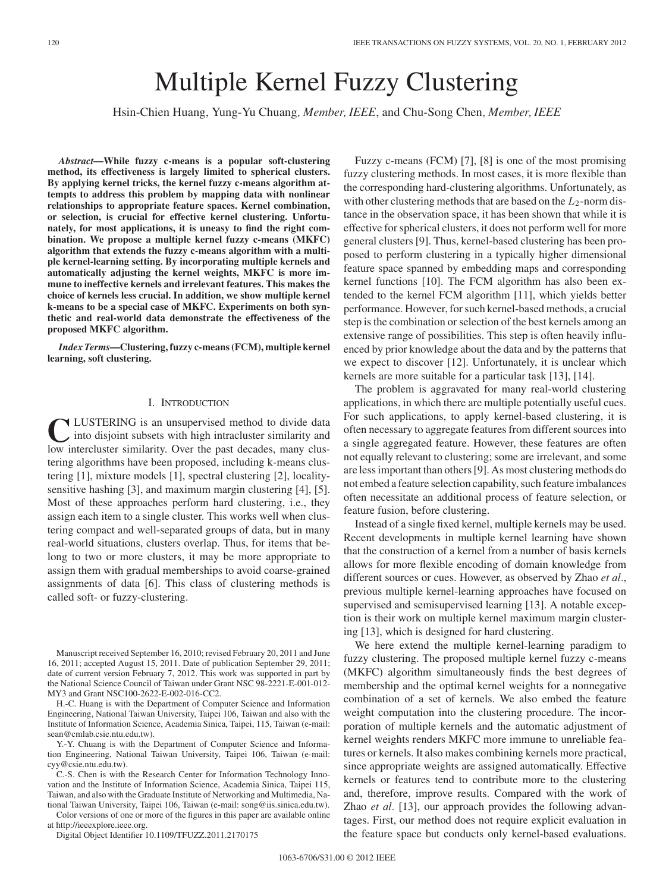# Multiple Kernel Fuzzy Clustering

Hsin-Chien Huang, Yung-Yu Chuang*, Member, IEEE*, and Chu-Song Chen*, Member, IEEE*

*Abstract***—While fuzzy c-means is a popular soft-clustering method, its effectiveness is largely limited to spherical clusters. By applying kernel tricks, the kernel fuzzy c-means algorithm attempts to address this problem by mapping data with nonlinear relationships to appropriate feature spaces. Kernel combination, or selection, is crucial for effective kernel clustering. Unfortunately, for most applications, it is uneasy to find the right combination. We propose a multiple kernel fuzzy c-means (MKFC) algorithm that extends the fuzzy c-means algorithm with a multiple kernel-learning setting. By incorporating multiple kernels and automatically adjusting the kernel weights, MKFC is more immune to ineffective kernels and irrelevant features. This makes the choice of kernels less crucial. In addition, we show multiple kernel k-means to be a special case of MKFC. Experiments on both synthetic and real-world data demonstrate the effectiveness of the proposed MKFC algorithm.**

*Index Terms***—Clustering, fuzzy c-means (FCM), multiple kernel learning, soft clustering.**

### I. INTRODUCTION

**T** LUSTERING is an unsupervised method to divide data into disjoint subsets with high intracluster similarity and low intercluster similarity. Over the past decades, many clustering algorithms have been proposed, including k-means clustering [1], mixture models [1], spectral clustering [2], localitysensitive hashing [3], and maximum margin clustering [4], [5]. Most of these approaches perform hard clustering, i.e., they assign each item to a single cluster. This works well when clustering compact and well-separated groups of data, but in many real-world situations, clusters overlap. Thus, for items that belong to two or more clusters, it may be more appropriate to assign them with gradual memberships to avoid coarse-grained assignments of data [6]. This class of clustering methods is called soft- or fuzzy-clustering.

Manuscript received September 16, 2010; revised February 20, 2011 and June 16, 2011; accepted August 15, 2011. Date of publication September 29, 2011; date of current version February 7, 2012. This work was supported in part by the National Science Council of Taiwan under Grant NSC 98-2221-E-001-012- MY3 and Grant NSC100-2622-E-002-016-CC2.

H.-C. Huang is with the Department of Computer Science and Information Engineering, National Taiwan University, Taipei 106, Taiwan and also with the Institute of Information Science, Academia Sinica, Taipei, 115, Taiwan (e-mail: sean@cmlab.csie.ntu.edu.tw).

Y.-Y. Chuang is with the Department of Computer Science and Information Engineering, National Taiwan University, Taipei 106, Taiwan (e-mail: cyy@csie.ntu.edu.tw).

C.-S. Chen is with the Research Center for Information Technology Innovation and the Institute of Information Science, Academia Sinica, Taipei 115, Taiwan, and also with the Graduate Institute of Networking and Multimedia, National Taiwan University, Taipei 106, Taiwan (e-mail: song@iis.sinica.edu.tw).

Color versions of one or more of the figures in this paper are available online at http://ieeexplore.ieee.org.

Digital Object Identifier 10.1109/TFUZZ.2011.2170175

Fuzzy c-means (FCM) [7], [8] is one of the most promising fuzzy clustering methods. In most cases, it is more flexible than the corresponding hard-clustering algorithms. Unfortunately, as with other clustering methods that are based on the  $L_2$ -norm distance in the observation space, it has been shown that while it is effective for spherical clusters, it does not perform well for more general clusters [9]. Thus, kernel-based clustering has been proposed to perform clustering in a typically higher dimensional feature space spanned by embedding maps and corresponding kernel functions [10]. The FCM algorithm has also been extended to the kernel FCM algorithm [11], which yields better performance. However, for such kernel-based methods, a crucial step is the combination or selection of the best kernels among an extensive range of possibilities. This step is often heavily influenced by prior knowledge about the data and by the patterns that we expect to discover [12]. Unfortunately, it is unclear which kernels are more suitable for a particular task [13], [14].

The problem is aggravated for many real-world clustering applications, in which there are multiple potentially useful cues. For such applications, to apply kernel-based clustering, it is often necessary to aggregate features from different sources into a single aggregated feature. However, these features are often not equally relevant to clustering; some are irrelevant, and some are less important than others [9]. As most clustering methods do not embed a feature selection capability, such feature imbalances often necessitate an additional process of feature selection, or feature fusion, before clustering.

Instead of a single fixed kernel, multiple kernels may be used. Recent developments in multiple kernel learning have shown that the construction of a kernel from a number of basis kernels allows for more flexible encoding of domain knowledge from different sources or cues. However, as observed by Zhao *et al.*, previous multiple kernel-learning approaches have focused on supervised and semisupervised learning [13]. A notable exception is their work on multiple kernel maximum margin clustering [13], which is designed for hard clustering.

We here extend the multiple kernel-learning paradigm to fuzzy clustering. The proposed multiple kernel fuzzy c-means (MKFC) algorithm simultaneously finds the best degrees of membership and the optimal kernel weights for a nonnegative combination of a set of kernels. We also embed the feature weight computation into the clustering procedure. The incorporation of multiple kernels and the automatic adjustment of kernel weights renders MKFC more immune to unreliable features or kernels. It also makes combining kernels more practical, since appropriate weights are assigned automatically. Effective kernels or features tend to contribute more to the clustering and, therefore, improve results. Compared with the work of Zhao *et al.* [13], our approach provides the following advantages. First, our method does not require explicit evaluation in the feature space but conducts only kernel-based evaluations.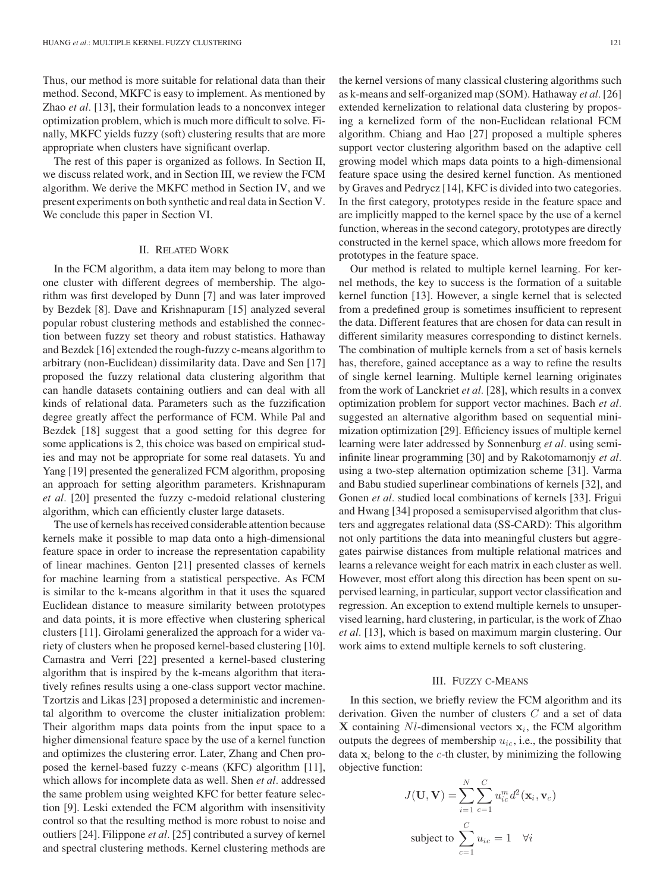Thus, our method is more suitable for relational data than their method. Second, MKFC is easy to implement. As mentioned by Zhao *et al.* [13], their formulation leads to a nonconvex integer optimization problem, which is much more difficult to solve. Finally, MKFC yields fuzzy (soft) clustering results that are more appropriate when clusters have significant overlap.

The rest of this paper is organized as follows. In Section II, we discuss related work, and in Section III, we review the FCM algorithm. We derive the MKFC method in Section IV, and we present experiments on both synthetic and real data in Section V. We conclude this paper in Section VI.

# II. RELATED WORK

In the FCM algorithm, a data item may belong to more than one cluster with different degrees of membership. The algorithm was first developed by Dunn [7] and was later improved by Bezdek [8]. Dave and Krishnapuram [15] analyzed several popular robust clustering methods and established the connection between fuzzy set theory and robust statistics. Hathaway and Bezdek [16] extended the rough-fuzzy c-means algorithm to arbitrary (non-Euclidean) dissimilarity data. Dave and Sen [17] proposed the fuzzy relational data clustering algorithm that can handle datasets containing outliers and can deal with all kinds of relational data. Parameters such as the fuzzification degree greatly affect the performance of FCM. While Pal and Bezdek [18] suggest that a good setting for this degree for some applications is 2, this choice was based on empirical studies and may not be appropriate for some real datasets. Yu and Yang [19] presented the generalized FCM algorithm, proposing an approach for setting algorithm parameters. Krishnapuram *et al.* [20] presented the fuzzy c-medoid relational clustering algorithm, which can efficiently cluster large datasets.

The use of kernels has received considerable attention because kernels make it possible to map data onto a high-dimensional feature space in order to increase the representation capability of linear machines. Genton [21] presented classes of kernels for machine learning from a statistical perspective. As FCM is similar to the k-means algorithm in that it uses the squared Euclidean distance to measure similarity between prototypes and data points, it is more effective when clustering spherical clusters [11]. Girolami generalized the approach for a wider variety of clusters when he proposed kernel-based clustering [10]. Camastra and Verri [22] presented a kernel-based clustering algorithm that is inspired by the k-means algorithm that iteratively refines results using a one-class support vector machine. Tzortzis and Likas [23] proposed a deterministic and incremental algorithm to overcome the cluster initialization problem: Their algorithm maps data points from the input space to a higher dimensional feature space by the use of a kernel function and optimizes the clustering error. Later, Zhang and Chen proposed the kernel-based fuzzy c-means (KFC) algorithm [11], which allows for incomplete data as well. Shen *et al.* addressed the same problem using weighted KFC for better feature selection [9]. Leski extended the FCM algorithm with insensitivity control so that the resulting method is more robust to noise and outliers [24]. Filippone *et al.* [25] contributed a survey of kernel and spectral clustering methods. Kernel clustering methods are the kernel versions of many classical clustering algorithms such as k-means and self-organized map (SOM). Hathaway *et al.* [26] extended kernelization to relational data clustering by proposing a kernelized form of the non-Euclidean relational FCM algorithm. Chiang and Hao [27] proposed a multiple spheres support vector clustering algorithm based on the adaptive cell growing model which maps data points to a high-dimensional feature space using the desired kernel function. As mentioned by Graves and Pedrycz [14], KFC is divided into two categories. In the first category, prototypes reside in the feature space and are implicitly mapped to the kernel space by the use of a kernel function, whereas in the second category, prototypes are directly constructed in the kernel space, which allows more freedom for prototypes in the feature space.

Our method is related to multiple kernel learning. For kernel methods, the key to success is the formation of a suitable kernel function [13]. However, a single kernel that is selected from a predefined group is sometimes insufficient to represent the data. Different features that are chosen for data can result in different similarity measures corresponding to distinct kernels. The combination of multiple kernels from a set of basis kernels has, therefore, gained acceptance as a way to refine the results of single kernel learning. Multiple kernel learning originates from the work of Lanckriet *et al.* [28], which results in a convex optimization problem for support vector machines. Bach *et al.* suggested an alternative algorithm based on sequential minimization optimization [29]. Efficiency issues of multiple kernel learning were later addressed by Sonnenburg *et al.* using semiinfinite linear programming [30] and by Rakotomamonjy *et al.* using a two-step alternation optimization scheme [31]. Varma and Babu studied superlinear combinations of kernels [32], and Gonen *et al.* studied local combinations of kernels [33]. Frigui and Hwang [34] proposed a semisupervised algorithm that clusters and aggregates relational data (SS-CARD): This algorithm not only partitions the data into meaningful clusters but aggregates pairwise distances from multiple relational matrices and learns a relevance weight for each matrix in each cluster as well. However, most effort along this direction has been spent on supervised learning, in particular, support vector classification and regression. An exception to extend multiple kernels to unsupervised learning, hard clustering, in particular, is the work of Zhao *et al.* [13], which is based on maximum margin clustering. Our work aims to extend multiple kernels to soft clustering.

# III. FUZZY C-MEANS

In this section, we briefly review the FCM algorithm and its derivation. Given the number of clusters C and a set of data **X** containing Nl-dimensional vectors  $x_i$ , the FCM algorithm outputs the degrees of membership  $u_{ic}$ , i.e., the possibility that data  $x_i$  belong to the c-th cluster, by minimizing the following objective function:

$$
J(\mathbf{U}, \mathbf{V}) = \sum_{i=1}^{N} \sum_{c=1}^{C} u_{ic}^{m} d^{2}(\mathbf{x}_{i}, \mathbf{v}_{c})
$$
  
subject to 
$$
\sum_{c=1}^{C} u_{ic} = 1 \quad \forall i
$$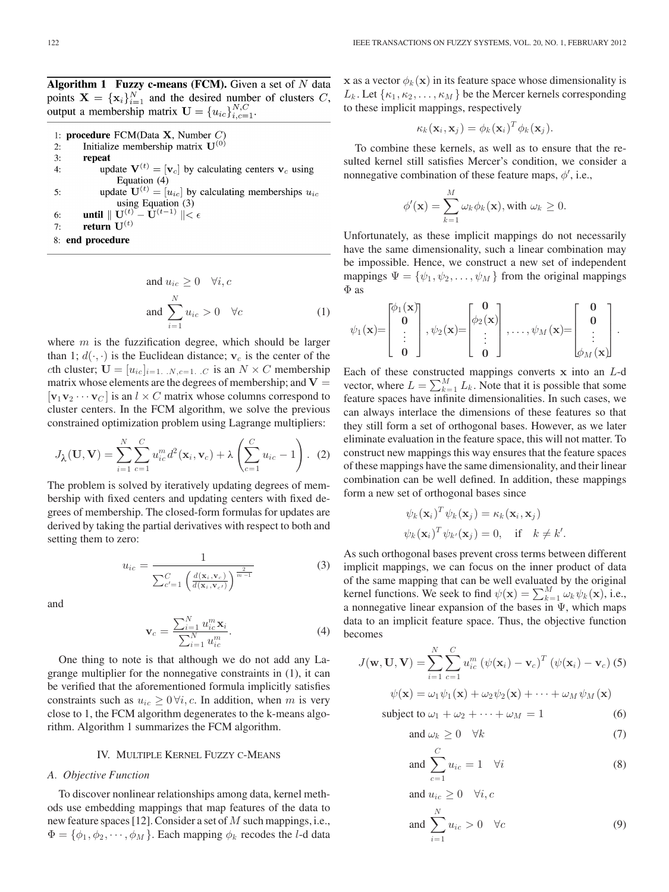**Algorithm 1 Fuzzy c-means (FCM).** Given a set of  $N$  data points  $X = \{x_i\}_{i=1}^N$  and the desired number of clusters C, output a membership matrix  $\mathbf{U} = \{u_{ic}\}_{i,c=1}^{N,C}$ 

- 1: procedure FCM(Data  $X$ , Number  $C$ )
- Initialize membership matrix  $U^{(0)}$  $2:$
- $3:$ repeat
- update  $\mathbf{V}^{(t)} = [\mathbf{v}_c]$  by calculating centers  $\mathbf{v}_c$  using  $4:$ Equation  $(4)$
- update  $\mathbf{U}^{(t)} = [u_{ic}]$  by calculating memberships  $u_{ic}$  $5:$ using Equation (3) until  $||\mathbf{U}^{(t)} - \mathbf{U}^{(t-1)}|| < \epsilon$ 6:
- return  $\mathbf{U}^{(t)}$  $7:$
- 8: end procedure

and 
$$
u_{ic} \ge 0
$$
  $\forall i, c$   
and  $\sum_{i=1}^{N} u_{ic} > 0$   $\forall c$  (1)

where  $m$  is the fuzzification degree, which should be larger than 1;  $d(\cdot, \cdot)$  is the Euclidean distance;  $v_c$  is the center of the cth cluster;  $\mathbf{U} = [u_{ic}]_{i=1...N,c=1...C}$  is an  $N \times C$  membership matrix whose elements are the degrees of membership; and  $V =$  $[\mathbf{v}_1 \mathbf{v}_2 \cdots \mathbf{v}_C]$  is an  $l \times C$  matrix whose columns correspond to cluster centers. In the FCM algorithm, we solve the previous constrained optimization problem using Lagrange multipliers:

$$
J_{\lambda}(\mathbf{U}, \mathbf{V}) = \sum_{i=1}^{N} \sum_{c=1}^{C} u_{ic}^{m} d^{2}(\mathbf{x}_{i}, \mathbf{v}_{c}) + \lambda \left(\sum_{c=1}^{C} u_{ic} - 1\right). (2)
$$

The problem is solved by iteratively updating degrees of membership with fixed centers and updating centers with fixed degrees of membership. The closed-form formulas for updates are derived by taking the partial derivatives with respect to both and setting them to zero:

$$
u_{ic} = \frac{1}{\sum_{c'=1}^{C} \left( \frac{d(\mathbf{x}_i, \mathbf{v}_c)}{d(\mathbf{x}_i, \mathbf{v}_{c'})} \right)^{\frac{2}{m-1}}}
$$
(3)

and

$$
\mathbf{v}_c = \frac{\sum_{i=1}^{N} u_{ic}^m \mathbf{x}_i}{\sum_{i=1}^{N} u_{ic}^m}.
$$
 (4)

One thing to note is that although we do not add any Lagrange multiplier for the nonnegative constraints in (1), it can be verified that the aforementioned formula implicitly satisfies constraints such as  $u_{ic} \geq 0 \forall i, c$ . In addition, when m is very close to 1, the FCM algorithm degenerates to the k-means algorithm. Algorithm 1 summarizes the FCM algorithm.

# IV. MULTIPLE KERNEL FUZZY C-MEANS

#### *A. Objective Function*

To discover nonlinear relationships among data, kernel methods use embedding mappings that map features of the data to new feature spaces [12]. Consider a set of  $M$  such mappings, i.e.,  $\Phi = {\phi_1, \phi_2, \cdots, \phi_M}$ . Each mapping  $\phi_k$  recodes the *l*-d data

**x** as a vector  $\phi_k(\mathbf{x})$  in its feature space whose dimensionality is  $L_k$ . Let  $\{\kappa_1, \kappa_2, \ldots, \kappa_M\}$  be the Mercer kernels corresponding to these implicit mappings, respectively

$$
\kappa_k(\mathbf{x}_i, \mathbf{x}_j) = \phi_k(\mathbf{x}_i)^T \phi_k(\mathbf{x}_j).
$$

To combine these kernels, as well as to ensure that the resulted kernel still satisfies Mercer's condition, we consider a nonnegative combination of these feature maps,  $\phi'$ , i.e.,

$$
\phi'(\mathbf{x}) = \sum_{k=1}^M \omega_k \phi_k(\mathbf{x}), \text{with } \omega_k \ge 0.
$$

Unfortunately, as these implicit mappings do not necessarily have the same dimensionality, such a linear combination may be impossible. Hence, we construct a new set of independent mappings  $\Psi = {\psi_1, \psi_2, \dots, \psi_M}$  from the original mappings  $\Phi$  as

$$
\psi_1(\mathbf{x}) = \begin{bmatrix} \phi_1(\mathbf{x}) \\ \mathbf{0} \\ \vdots \\ \mathbf{0} \end{bmatrix}, \psi_2(\mathbf{x}) = \begin{bmatrix} \mathbf{0} \\ \phi_2(\mathbf{x}) \\ \vdots \\ \mathbf{0} \end{bmatrix}, \dots, \psi_M(\mathbf{x}) = \begin{bmatrix} \mathbf{0} \\ \mathbf{0} \\ \vdots \\ \phi_M(\mathbf{x}) \end{bmatrix}.
$$

Each of these constructed mappings converts **x** into an L-d vector, where  $L = \sum_{k=1}^{M} L_k$ . Note that it is possible that some feature spaces have infinite dimensionalities. In such cases, we can always interlace the dimensions of these features so that they still form a set of orthogonal bases. However, as we later eliminate evaluation in the feature space, this will not matter. To construct new mappings this way ensures that the feature spaces of these mappings have the same dimensionality, and their linear combination can be well defined. In addition, these mappings form a new set of orthogonal bases since

$$
\psi_k(\mathbf{x}_i)^T \psi_k(\mathbf{x}_j) = \kappa_k(\mathbf{x}_i, \mathbf{x}_j)
$$
  

$$
\psi_k(\mathbf{x}_i)^T \psi_{k'}(\mathbf{x}_j) = 0, \text{ if } k \neq k'
$$

.

As such orthogonal bases prevent cross terms between different implicit mappings, we can focus on the inner product of data of the same mapping that can be well evaluated by the original kernel functions. We seek to find  $\psi(\mathbf{x}) = \sum_{k=1}^{M} \omega_k \psi_k(\mathbf{x})$ , i.e., a nonnegative linear expansion of the bases in  $\Psi$ , which maps data to an implicit feature space. Thus, the objective function becomes

$$
J(\mathbf{w}, \mathbf{U}, \mathbf{V}) = \sum_{i=1}^{N} \sum_{c=1}^{C} u_{ic}^{m} (\psi(\mathbf{x}_{i}) - \mathbf{v}_{c})^{T} (\psi(\mathbf{x}_{i}) - \mathbf{v}_{c})
$$
(5)  

$$
\psi(\mathbf{x}) = \omega_{1} \psi_{1}(\mathbf{x}) + \omega_{2} \psi_{2}(\mathbf{x}) + \dots + \omega_{M} \psi_{M}(\mathbf{x})
$$

subject to  $\omega_1 + \omega_2 + \cdots + \omega_M = 1$  (6)

$$
and \omega_k \ge 0 \quad \forall k \tag{7}
$$

and 
$$
\sum_{c=1}^{C} u_{ic} = 1 \quad \forall i
$$
 (8)

and 
$$
u_{ic} \geq 0
$$
  $\forall i, c$ 

and 
$$
\sum_{i=1}^{N} u_{ic} > 0 \quad \forall c
$$
 (9)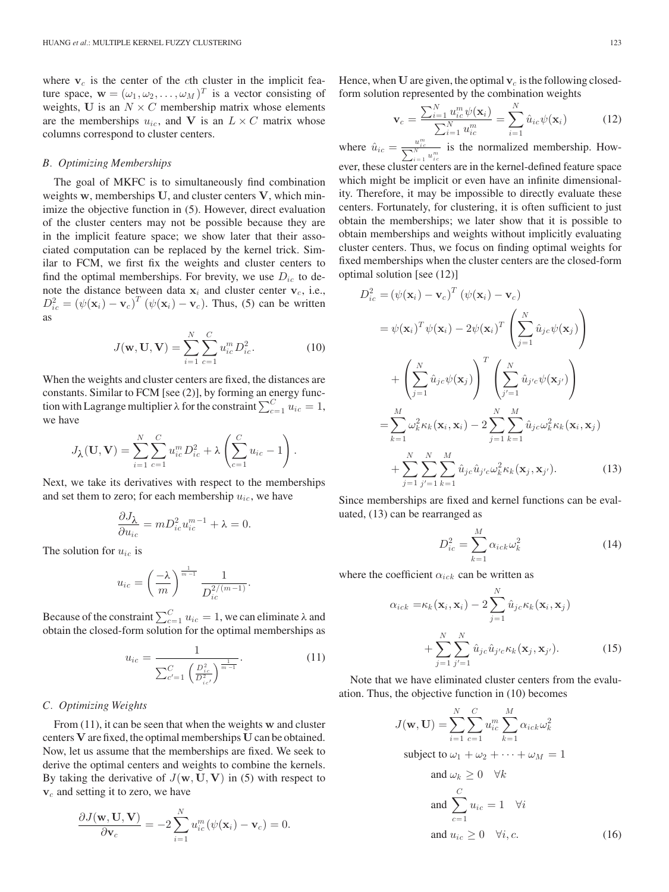where  $v_c$  is the center of the cth cluster in the implicit feature space,  $\mathbf{w} = (\omega_1, \omega_2, \dots, \omega_M)^T$  is a vector consisting of weights, U is an  $N \times C$  membership matrix whose elements are the memberships  $u_{ic}$ , and **V** is an  $L \times C$  matrix whose columns correspond to cluster centers.

#### *B. Optimizing Memberships*

The goal of MKFC is to simultaneously find combination weights **w**, memberships **U**, and cluster centers **V**, which minimize the objective function in (5). However, direct evaluation of the cluster centers may not be possible because they are in the implicit feature space; we show later that their associated computation can be replaced by the kernel trick. Similar to FCM, we first fix the weights and cluster centers to find the optimal memberships. For brevity, we use  $D_{ic}$  to denote the distance between data  $x_i$  and cluster center  $v_c$ , i.e.,  $D_{ic}^2 = (\psi(\mathbf{x}_i) - \mathbf{v}_c)^T (\psi(\mathbf{x}_i) - \mathbf{v}_c)$ . Thus, (5) can be written as

$$
J(\mathbf{w}, \mathbf{U}, \mathbf{V}) = \sum_{i=1}^{N} \sum_{c=1}^{C} u_{ic}^{m} D_{ic}^{2}.
$$
 (10)

When the weights and cluster centers are fixed, the distances are constants. Similar to FCM [see (2)], by forming an energy function with Lagrange multiplier  $\lambda$  for the constraint  $\sum_{c=1}^{C} u_{ic} = 1$ , we have

$$
J_{\lambda}(\mathbf{U}, \mathbf{V}) = \sum_{i=1}^{N} \sum_{c=1}^{C} u_{ic}^{m} D_{ic}^{2} + \lambda \left( \sum_{c=1}^{C} u_{ic} - 1 \right).
$$

Next, we take its derivatives with respect to the memberships and set them to zero; for each membership  $u_{ic}$ , we have

$$
\frac{\partial J_{\lambda}}{\partial u_{ic}} = m D_{ic}^2 u_{ic}^{m-1} + \lambda = 0.
$$

The solution for  $u_{ic}$  is

$$
u_{ic} = \left(\frac{-\lambda}{m}\right)^{\frac{1}{m-1}} \frac{1}{D_{ic}^{2/(m-1)}}.
$$

Because of the constraint  $\sum_{c=1}^{C} u_{ic} = 1$ , we can eliminate  $\lambda$  and obtain the closed-form solution for the optimal memberships as

$$
u_{ic} = \frac{1}{\sum_{c'=1}^{C} \left(\frac{D_{ic}^2}{D_{ic'}^2}\right)^{\frac{1}{m-1}}}.
$$
 (11)

# *C. Optimizing Weights*

From (11), it can be seen that when the weights **w** and cluster centers **V** are fixed, the optimal memberships **U** can be obtained. Now, let us assume that the memberships are fixed. We seek to derive the optimal centers and weights to combine the kernels. By taking the derivative of  $J(\mathbf{w}, \mathbf{U}, \mathbf{V})$  in (5) with respect to  $v_c$  and setting it to zero, we have

$$
\frac{\partial J(\mathbf{w}, \mathbf{U}, \mathbf{V})}{\partial \mathbf{v}_c} = -2 \sum_{i=1}^N u_{ic}^m (\psi(\mathbf{x}_i) - \mathbf{v}_c) = 0.
$$

Hence, when  $U$  are given, the optimal  $v_c$  is the following closedform solution represented by the combination weights

$$
\mathbf{v}_c = \frac{\sum_{i=1}^{N} u_{ic}^m \psi(\mathbf{x}_i)}{\sum_{i=1}^{N} u_{ic}^m} = \sum_{i=1}^{N} \hat{u}_{ic} \psi(\mathbf{x}_i)
$$
(12)

where  $\hat{u}_{ic} = \frac{u_{ic}^m}{\sum_{i=1}^{N} u_{ic}^m}$  is the normalized membership. How-

ever, these cluster centers are in the kernel-defined feature space which might be implicit or even have an infinite dimensionality. Therefore, it may be impossible to directly evaluate these centers. Fortunately, for clustering, it is often sufficient to just obtain the memberships; we later show that it is possible to obtain memberships and weights without implicitly evaluating cluster centers. Thus, we focus on finding optimal weights for fixed memberships when the cluster centers are the closed-form optimal solution [see (12)]

$$
D_{ic}^{2} = (\psi(\mathbf{x}_{i}) - \mathbf{v}_{c})^{T} (\psi(\mathbf{x}_{i}) - \mathbf{v}_{c})
$$
  
\n
$$
= \psi(\mathbf{x}_{i})^{T} \psi(\mathbf{x}_{i}) - 2\psi(\mathbf{x}_{i})^{T} \left(\sum_{j=1}^{N} \hat{u}_{jc} \psi(\mathbf{x}_{j})\right)
$$
  
\n
$$
+ \left(\sum_{j=1}^{N} \hat{u}_{jc} \psi(\mathbf{x}_{j})\right)^{T} \left(\sum_{j'=1}^{N} \hat{u}_{j'c} \psi(\mathbf{x}_{j'})\right)
$$
  
\n
$$
= \sum_{k=1}^{M} \omega_{k}^{2} \kappa_{k}(\mathbf{x}_{i}, \mathbf{x}_{i}) - 2 \sum_{j=1}^{N} \sum_{k=1}^{M} \hat{u}_{jc} \omega_{k}^{2} \kappa_{k}(\mathbf{x}_{i}, \mathbf{x}_{j})
$$
  
\n
$$
+ \sum_{j=1}^{N} \sum_{j'=1}^{N} \sum_{k=1}^{M} \hat{u}_{jc} \hat{u}_{jc} \omega_{jc}^{2} \kappa_{k}(\mathbf{x}_{j}, \mathbf{x}_{j'})
$$
 (13)

Since memberships are fixed and kernel functions can be evaluated, (13) can be rearranged as

$$
D_{ic}^2 = \sum_{k=1}^{M} \alpha_{ick} \omega_k^2
$$
 (14)

where the coefficient  $\alpha_{ick}$  can be written as

$$
\alpha_{ick} = \kappa_k(\mathbf{x}_i, \mathbf{x}_i) - 2 \sum_{j=1}^N \hat{u}_{jc} \kappa_k(\mathbf{x}_i, \mathbf{x}_j)
$$
  
+ 
$$
\sum_{j=1}^N \sum_{j'=1}^N \hat{u}_{jc} \hat{u}_{j'c} \kappa_k(\mathbf{x}_j, \mathbf{x}_{j'}).
$$
 (15)

Note that we have eliminated cluster centers from the evaluation. Thus, the objective function in (10) becomes

$$
J(\mathbf{w}, \mathbf{U}) = \sum_{i=1}^{N} \sum_{c=1}^{C} u_{ic}^{m} \sum_{k=1}^{M} \alpha_{ick} \omega_{k}^{2}
$$
  
subject to  $\omega_{1} + \omega_{2} + \cdots + \omega_{M} = 1$   
and  $\omega_{k} \ge 0 \quad \forall k$   
and  $\sum_{c=1}^{C} u_{ic} = 1 \quad \forall i$   
and  $u_{ic} > 0 \quad \forall i, c.$  (16)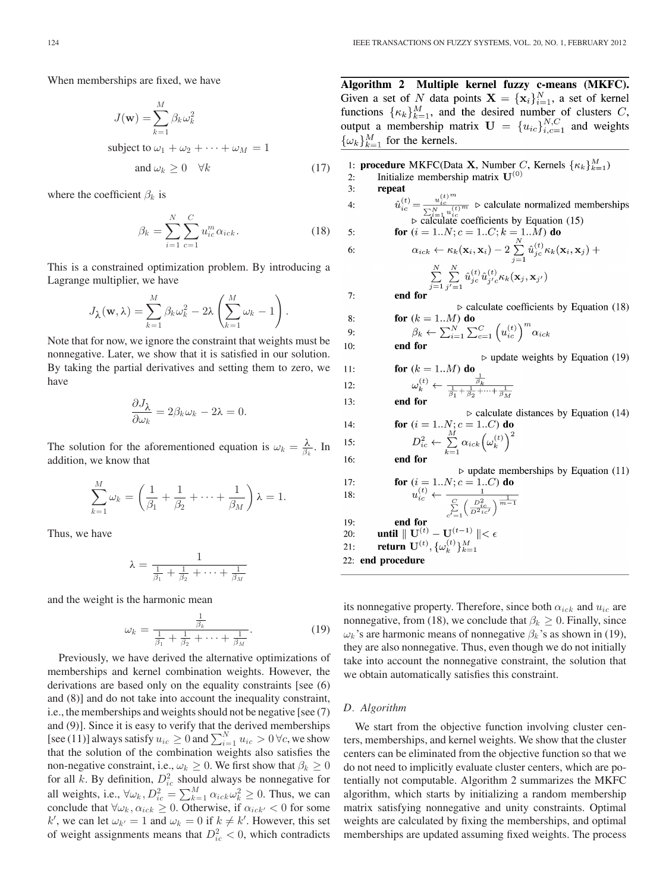When memberships are fixed, we have

$$
J(\mathbf{w}) = \sum_{k=1}^{M} \beta_k \omega_k^2
$$
  
subject to  $\omega_1 + \omega_2 + \dots + \omega_M = 1$   
and  $\omega_k \ge 0 \quad \forall k$  (17)

where the coefficient  $\beta_k$  is

$$
\beta_k = \sum_{i=1}^{N} \sum_{c=1}^{C} u_{ic}^m \alpha_{ick}.
$$
 (18)

This is a constrained optimization problem. By introducing a Lagrange multiplier, we have

$$
J_{\pmb{\lambda}}(\mathbf{w},\lambda)=\sum_{k=1}^M\beta_k\omega_k^2-2\lambda\left(\sum_{k=1}^M\omega_k-1\right).
$$

Note that for now, we ignore the constraint that weights must be nonnegative. Later, we show that it is satisfied in our solution. By taking the partial derivatives and setting them to zero, we have

$$
\frac{\partial J_{\lambda}}{\partial \omega_k} = 2\beta_k \omega_k - 2\lambda = 0.
$$

The solution for the aforementioned equation is  $\omega_k = \frac{\lambda}{\beta_k}$ . In addition, we know that

$$
\sum_{k=1}^{M} \omega_k = \left(\frac{1}{\beta_1} + \frac{1}{\beta_2} + \dots + \frac{1}{\beta_M}\right) \lambda = 1.
$$

Thus, we have

$$
\lambda = \frac{1}{\frac{1}{\beta_1} + \frac{1}{\beta_2} + \cdots + \frac{1}{\beta_M}}
$$

and the weight is the harmonic mean

$$
\omega_k = \frac{\frac{1}{\beta_k}}{\frac{1}{\beta_1} + \frac{1}{\beta_2} + \dots + \frac{1}{\beta_M}}.
$$
 (19)

Previously, we have derived the alternative optimizations of memberships and kernel combination weights. However, the derivations are based only on the equality constraints [see (6) and (8)] and do not take into account the inequality constraint, i.e., the memberships and weights should not be negative [see (7) and (9)]. Since it is easy to verify that the derived memberships [see (11)] always satisfy  $u_{ic} \ge 0$  and  $\sum_{i=1}^{N} u_{ic} > 0$   $\forall c$ , we show that the solution of the combination weights also satisfies the non-negative constraint, i.e.,  $\omega_k \geq 0$ . We first show that  $\beta_k \geq 0$ for all k. By definition,  $D_{ic}^2$  should always be nonnegative for all weights, i.e.,  $\forall \omega_k, D_{ic}^2 = \sum_{k=1}^{M} \alpha_{ick} \omega_k^2 \ge 0$ . Thus, we can conclude that  $\forall \omega_k, \alpha_{ick} \geq 0$ . Otherwise, if  $\alpha_{ick'} < 0$  for some k', we can let  $\omega_{k'} = 1$  and  $\omega_k = 0$  if  $k \neq k'$ . However, this set of weight assignments means that  $D_{ic}^2 < 0$ , which contradicts

Algorithm 2 Multiple kernel fuzzy c-means (MKFC). Given a set of N data points  $X = \{x_i\}_{i=1}^N$ , a set of kernel functions  $\{\kappa_k\}_{k=1}^M$ , and the desired number of clusters C, output a membership matrix  $\mathbf{U} = \{u_{ic}\}_{i,c=1}^{N,C}$  and weights  $\{\omega_k\}_{k=1}^M$  for the kernels.

1: **procedure** MKFC(Data **X**, Number *C*, Kernels  $\{\kappa_k\}_{k=1}^M$ ) Initialize membership matrix  $\mathbf{U}^{(0)}$  $2:$ 3. repeat **ii**  $\hat{u}_{ic}^{(t)} = \frac{u_{ic}^{(t)m}}{\sum_{i=1}^{N} u_{ic}^{(t)m}}$   $\triangleright$  calculate normalized memberships<br>  $\triangleright$  calculate coefficients by Equation (15)<br> **for**  $(i = 1..N; c = 1..C; k = 1..M)$  **do**<br>  $\alpha_{ick} \leftarrow \kappa_k(\mathbf{x}_i, \mathbf{x}_i) - 2 \sum_{j=1}^{N} \hat{u}_{$  $4:$  $5:$ 6:  $\sum_{j=1}^N\sum_{j'=1}^N\hat{u}_{jc}^{(t)}\hat{u}_{j'c}^{(t)}\kappa_k(\mathbf{x}_j,\mathbf{x}_{j'})$  $7:$  $\rhd$  calculate coefficients by Equation (18) for  $(k = 1..M)$  do<br>  $\beta_k \leftarrow \sum_{i=1}^N \sum_{c=1}^C \left(u_{ic}^{(t)}\right)^m \alpha_{ick}$ <br>
end for  $8:$ 9:  $10:$  $\rhd$  update weights by Equation (19) for  $(k = 1..M)$  do  $\omega_k^{(t)} \leftarrow \frac{1}{\frac{1}{\beta_1} + \frac{1}{\beta_2} + \cdots + \frac{1}{\beta_M}}$ <br>and for  $11:$  $12:$ end for<br>  $\triangleright$  calculate distances by Equation (14)<br>
for  $(i = 1..N; c = 1..C)$  do<br>  $D_{ic}^2 \leftarrow \sum_{k=1}^{M} \alpha_{ick} \left(\omega_k^{(t)}\right)^2$ <br>
end for  $13:$  $14:$  $15:$  $16:$  $\rhd$  update memberships by Equation (11) for  $(i = 1..N; c = 1..C)$  do<br>  $u_{ic}^{(t)} \leftarrow \frac{1}{\sum_{c'=1}^{C} \left(\frac{D_{ic}^2}{D^2ic'}\right)^{\frac{1}{m-1}}}$ <br>
end for<br>
until  $||U^{(t)} - U^{(t-1)}|| < \epsilon$ <br>
return  $U^{(t)}, \{\omega_k^{(t)}\}_{k=1}^M$  $17:$  $18:$ 19: 20:  $21:$ 22: end procedure

its nonnegative property. Therefore, since both  $\alpha_{ick}$  and  $u_{ic}$  are nonnegative, from (18), we conclude that  $\beta_k \geq 0$ . Finally, since  $\omega_k$ 's are harmonic means of nonnegative  $\beta_k$ 's as shown in (19), they are also nonnegative. Thus, even though we do not initially take into account the nonnegative constraint, the solution that we obtain automatically satisfies this constraint.

# *D. Algorithm*

We start from the objective function involving cluster centers, memberships, and kernel weights. We show that the cluster centers can be eliminated from the objective function so that we do not need to implicitly evaluate cluster centers, which are potentially not computable. Algorithm 2 summarizes the MKFC algorithm, which starts by initializing a random membership matrix satisfying nonnegative and unity constraints. Optimal weights are calculated by fixing the memberships, and optimal memberships are updated assuming fixed weights. The process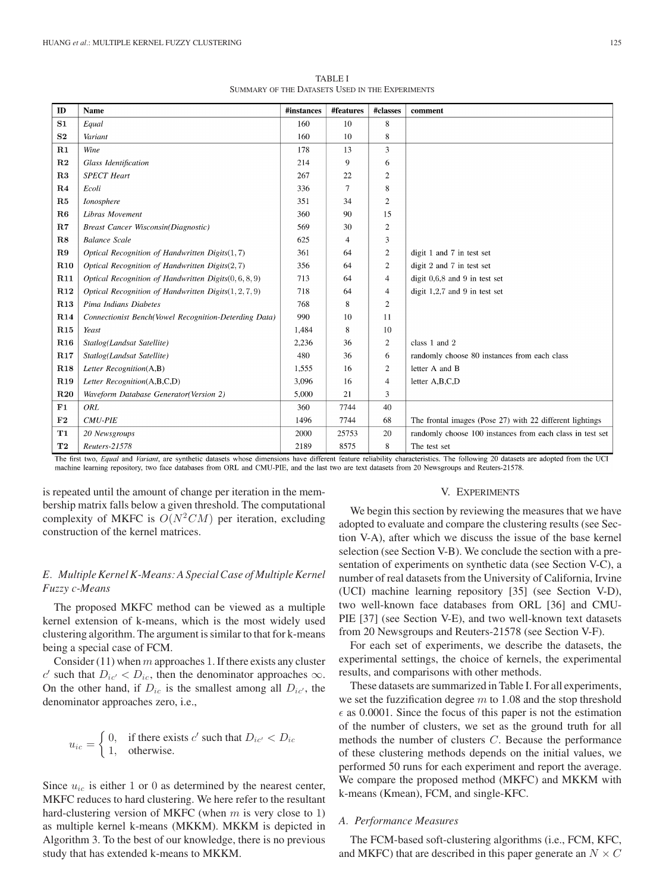| ID              | <b>Name</b>                                              | #instances | #features | #classes       | comment                                                   |
|-----------------|----------------------------------------------------------|------------|-----------|----------------|-----------------------------------------------------------|
| S1              | Equal                                                    | 160        | 10        | 8              |                                                           |
| S <sub>2</sub>  | Variant                                                  | 160        | 10        | 8              |                                                           |
| R1              | Wine                                                     | 178        | 13        | 3              |                                                           |
| R <sub>2</sub>  | Glass Identification                                     | 214        | 9         | 6              |                                                           |
| R3              | <b>SPECT</b> Heart                                       | 267        | 22        | $\mathbf{2}$   |                                                           |
| R <sub>4</sub>  | Ecoli                                                    | 336        | $\tau$    | 8              |                                                           |
| R5              | Ionosphere                                               | 351        | 34        | $\mathbf{2}$   |                                                           |
| R6              | Libras Movement                                          | 360        | 90        | 15             |                                                           |
| R7              | <b>Breast Cancer Wisconsin(Diagnostic)</b>               | 569        | 30        | $\mathbf{2}$   |                                                           |
| R8              | <b>Balance Scale</b>                                     | 625        | 4         | 3              |                                                           |
| R9              | Optical Recognition of Handwritten Digits(1,7)           | 361        | 64        | $\overline{c}$ | digit $1$ and $7$ in test set                             |
| <b>R10</b>      | Optical Recognition of Handwritten Digits(2,7)           | 356        | 64        | 2              | digit 2 and 7 in test set                                 |
| <b>R11</b>      | Optical Recognition of Handwritten Digits(0, 6, 8, 9)    | 713        | 64        | 4              | digit $0.6, 8$ and $9$ in test set                        |
| R <sub>12</sub> | Optical Recognition of Handwritten Digits $(1, 2, 7, 9)$ | 718        | 64        | 4              | digit $1,2,7$ and 9 in test set                           |
| R <sub>13</sub> | Pima Indians Diabetes                                    | 768        | 8         | $\overline{c}$ |                                                           |
| <b>R14</b>      | Connectionist Bench(Vowel Recognition-Deterding Data)    | 990        | 10        | 11             |                                                           |
| R15             | Yeast                                                    | 1,484      | 8         | 10             |                                                           |
| <b>R16</b>      | Statlog(Landsat Satellite)                               | 2,236      | 36        | $\overline{c}$ | class 1 and 2                                             |
| R17             | Statlog(Landsat Satellite)                               | 480        | 36        | 6              | randomly choose 80 instances from each class              |
| <b>R18</b>      | Letter Recognition(A,B)                                  | 1,555      | 16        | $\mathbf{2}$   | letter A and B                                            |
| R <sub>19</sub> | Letter Recognition(A,B,C,D)                              | 3,096      | 16        | 4              | letter A,B,C,D                                            |
| $R_{20}$        | Waveform Database Generator(Version 2)                   | 5,000      | 21        | 3              |                                                           |
| F1              | ORL                                                      | 360        | 7744      | 40             |                                                           |
| F2              | <b>CMU-PIE</b>                                           | 1496       | 7744      | 68             | The frontal images (Pose 27) with 22 different lightings  |
| T1              | 20 Newsgroups                                            | 2000       | 25753     | 20             | randomly choose 100 instances from each class in test set |
| T2              | Reuters-21578                                            | 2189       | 8575      | 8              | The test set                                              |

TABLE I SUMMARY OF THE DATASETS USED IN THE EXPERIMENTS

The first two, Equal and Variant, are synthetic datasets whose dimensions have different feature reliability characteristics. The following 20 datasets are adopted from the UCI machine learning repository, two face databases from ORL and CMU-PIE, and the last two are text datasets from 20 Newsgroups and Reuters-21578.

is repeated until the amount of change per iteration in the membership matrix falls below a given threshold. The computational complexity of MKFC is  $O(N^2CM)$  per iteration, excluding construction of the kernel matrices.

# *E. Multiple Kernel K-Means: A Special Case of Multiple Kernel Fuzzy c-Means*

The proposed MKFC method can be viewed as a multiple kernel extension of k-means, which is the most widely used clustering algorithm. The argument is similar to that for k-means being a special case of FCM.

Consider (11) when  $m$  approaches 1. If there exists any cluster c' such that  $D_{ic'} < D_{ic}$ , then the denominator approaches  $\infty$ . On the other hand, if  $D_{ic}$  is the smallest among all  $D_{ic'}$ , the denominator approaches zero, i.e.,

$$
u_{ic} = \begin{cases} 0, & \text{if there exists } c' \text{ such that } D_{ic'} < D_{ic} \\ 1, & \text{otherwise.} \end{cases}
$$

Since  $u_{ic}$  is either 1 or 0 as determined by the nearest center, MKFC reduces to hard clustering. We here refer to the resultant hard-clustering version of MKFC (when  $m$  is very close to 1) as multiple kernel k-means (MKKM). MKKM is depicted in Algorithm 3. To the best of our knowledge, there is no previous study that has extended k-means to MKKM.

#### V. EXPERIMENTS

We begin this section by reviewing the measures that we have adopted to evaluate and compare the clustering results (see Section V-A), after which we discuss the issue of the base kernel selection (see Section V-B). We conclude the section with a presentation of experiments on synthetic data (see Section V-C), a number of real datasets from the University of California, Irvine (UCI) machine learning repository [35] (see Section V-D), two well-known face databases from ORL [36] and CMU-PIE [37] (see Section V-E), and two well-known text datasets from 20 Newsgroups and Reuters-21578 (see Section V-F).

For each set of experiments, we describe the datasets, the experimental settings, the choice of kernels, the experimental results, and comparisons with other methods.

These datasets are summarized in Table I. For all experiments, we set the fuzzification degree  $m$  to 1.08 and the stop threshold  $\epsilon$  as 0.0001. Since the focus of this paper is not the estimation of the number of clusters, we set as the ground truth for all methods the number of clusters C. Because the performance of these clustering methods depends on the initial values, we performed 50 runs for each experiment and report the average. We compare the proposed method (MKFC) and MKKM with k-means (Kmean), FCM, and single-KFC.

# *A. Performance Measures*

The FCM-based soft-clustering algorithms (i.e., FCM, KFC, and MKFC) that are described in this paper generate an  $N \times C$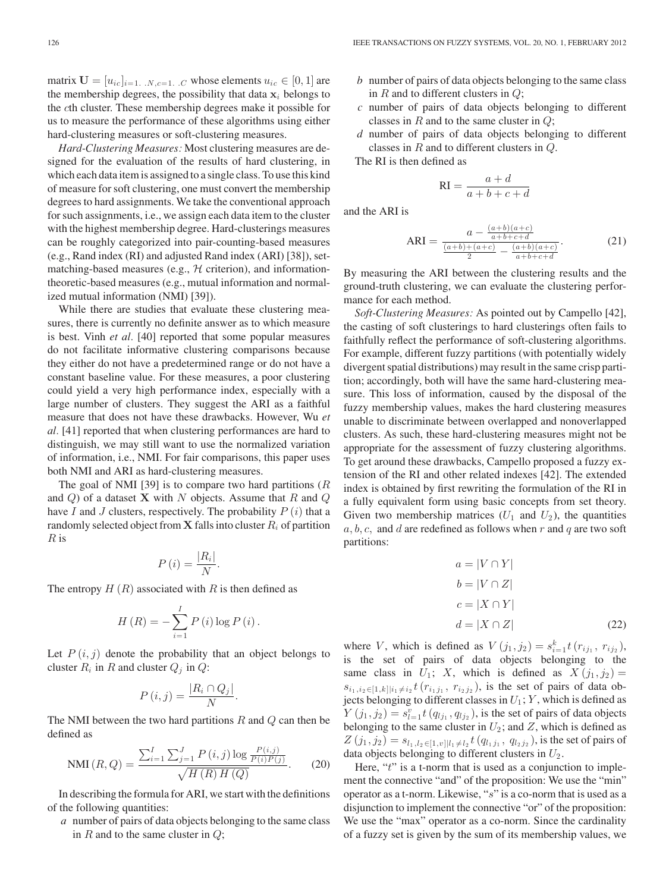matrix  $\mathbf{U} = [u_{ic}]_{i=1...N, c=1...C}$  whose elements  $u_{ic} \in [0, 1]$  are the membership degrees, the possibility that data  $x_i$  belongs to the cth cluster. These membership degrees make it possible for us to measure the performance of these algorithms using either hard-clustering measures or soft-clustering measures.

*Hard-Clustering Measures:* Most clustering measures are designed for the evaluation of the results of hard clustering, in which each data item is assigned to a single class. To use this kind of measure for soft clustering, one must convert the membership degrees to hard assignments. We take the conventional approach for such assignments, i.e., we assign each data item to the cluster with the highest membership degree. Hard-clusterings measures can be roughly categorized into pair-counting-based measures (e.g., Rand index (RI) and adjusted Rand index (ARI) [38]), setmatching-based measures (e.g.,  $H$  criterion), and informationtheoretic-based measures (e.g., mutual information and normalized mutual information (NMI) [39]).

While there are studies that evaluate these clustering measures, there is currently no definite answer as to which measure is best. Vinh *et al.* [40] reported that some popular measures do not facilitate informative clustering comparisons because they either do not have a predetermined range or do not have a constant baseline value. For these measures, a poor clustering could yield a very high performance index, especially with a large number of clusters. They suggest the ARI as a faithful measure that does not have these drawbacks. However, Wu *et al.* [41] reported that when clustering performances are hard to distinguish, we may still want to use the normalized variation of information, i.e., NMI. For fair comparisons, this paper uses both NMI and ARI as hard-clustering measures.

The goal of NMI [39] is to compare two hard partitions  $(R)$ and  $Q$ ) of a dataset **X** with N objects. Assume that R and  $Q$ have I and J clusters, respectively. The probability  $P(i)$  that a randomly selected object from **X** falls into cluster  $R_i$  of partition R is

$$
P(i) = \frac{|R_i|}{N}.
$$

The entropy  $H(R)$  associated with R is then defined as

$$
H(R) = -\sum_{i=1}^{I} P(i) \log P(i).
$$

Let  $P(i, j)$  denote the probability that an object belongs to cluster  $R_i$  in R and cluster  $Q_j$  in Q:

$$
P(i,j) = \frac{|R_i \cap Q_j|}{N}.
$$

The NMI between the two hard partitions  $R$  and  $Q$  can then be defined as

$$
NMI(R,Q) = \frac{\sum_{i=1}^{I} \sum_{j=1}^{J} P(i,j) \log \frac{P(i,j)}{P(i)P(j)}}{\sqrt{H(R)H(Q)}}.
$$
 (20)

In describing the formula for ARI, we start with the definitions of the following quantities:

*a* number of pairs of data objects belonging to the same class in  $R$  and to the same cluster in  $Q$ ;

- *b* number of pairs of data objects belonging to the same class in  $R$  and to different clusters in  $Q$ ;
- *c* number of pairs of data objects belonging to different classes in  $R$  and to the same cluster in  $Q$ ;
- *d* number of pairs of data objects belonging to different classes in R and to different clusters in Q.

The RI is then defined as

$$
\text{RI} = \frac{a+d}{a+b+c+}
$$

and the ARI is

$$
ARI = \frac{a - \frac{(a+b)(a+c)}{a+b+c+d}}{\frac{(a+b)+(a+c)}{2} - \frac{(a+b)(a+c)}{a+b+c+d}}.
$$
(21)

 $\overline{d}$ 

By measuring the ARI between the clustering results and the ground-truth clustering, we can evaluate the clustering performance for each method.

*Soft-Clustering Measures:* As pointed out by Campello [42], the casting of soft clusterings to hard clusterings often fails to faithfully reflect the performance of soft-clustering algorithms. For example, different fuzzy partitions (with potentially widely divergent spatial distributions) may result in the same crisp partition; accordingly, both will have the same hard-clustering measure. This loss of information, caused by the disposal of the fuzzy membership values, makes the hard clustering measures unable to discriminate between overlapped and nonoverlapped clusters. As such, these hard-clustering measures might not be appropriate for the assessment of fuzzy clustering algorithms. To get around these drawbacks, Campello proposed a fuzzy extension of the RI and other related indexes [42]. The extended index is obtained by first rewriting the formulation of the RI in a fully equivalent form using basic concepts from set theory. Given two membership matrices  $(U_1 \text{ and } U_2)$ , the quantities  $a, b, c$ , and d are redefined as follows when r and q are two soft partitions:

$$
a = |V \cap Y|
$$
  
\n
$$
b = |V \cap Z|
$$
  
\n
$$
c = |X \cap Y|
$$
  
\n
$$
d = |X \cap Z|
$$
\n(22)

where *V*, which is defined as  $V(j_1, j_2) = s_{i=1}^k t(r_{ij_1}, r_{ij_2})$ , is the set of pairs of data objects belonging to the same class in  $U_1$ ; X, which is defined as  $X(j_1, j_2) =$  $s_{i_1,i_2 \in [1,k]|i_1 \neq i_2} t(r_{i_1j_1}, r_{i_2j_2})$ , is the set of pairs of data objects belonging to different classes in  $U_1$ ; Y, which is defined as  $Y(j_1, j_2) = s_{l=1}^v t(q_{lj_1}, q_{lj_2})$ , is the set of pairs of data objects belonging to the same cluster in  $U_2$ ; and  $Z$ , which is defined as  $Z(j_1, j_2) = s_{l_1, l_2 \in [1, v] | l_1 \neq l_2} t(q_{l_1 j_1}, q_{l_2 j_2})$ , is the set of pairs of data objects belonging to different clusters in  $U_2$ .

Here, " $t$ " is a t-norm that is used as a conjunction to implement the connective "and" of the proposition: We use the "min" operator as a t-norm. Likewise, "s" is a co-norm that is used as a disjunction to implement the connective "or" of the proposition: We use the "max" operator as a co-norm. Since the cardinality of a fuzzy set is given by the sum of its membership values, we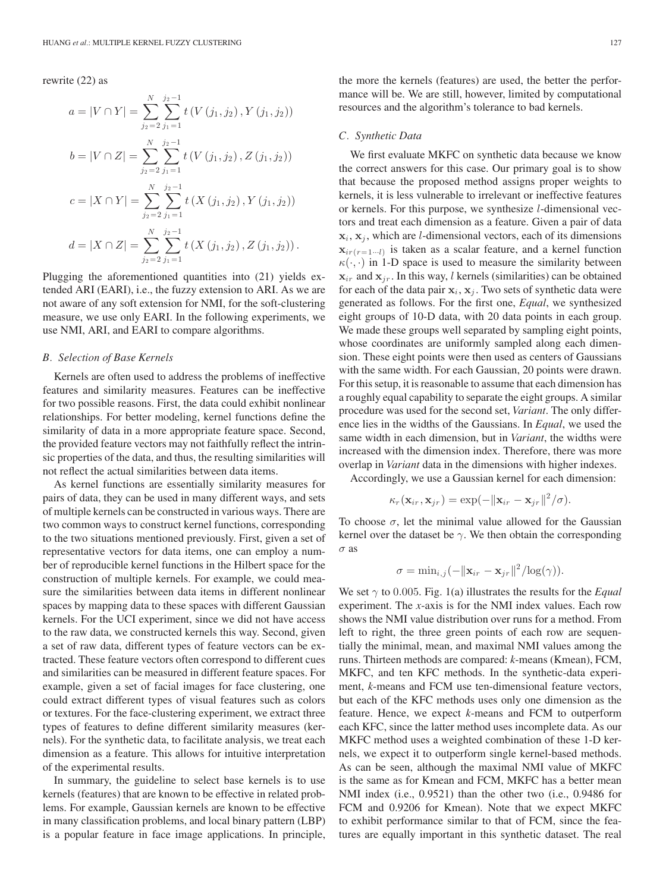rewrite (22) as

$$
a = |V \cap Y| = \sum_{j_2=2}^{N} \sum_{j_1=1}^{j_2-1} t (V(j_1, j_2), Y(j_1, j_2))
$$
  
\n
$$
b = |V \cap Z| = \sum_{j_2=2}^{N} \sum_{j_1=1}^{j_2-1} t (V(j_1, j_2), Z(j_1, j_2))
$$
  
\n
$$
c = |X \cap Y| = \sum_{j_2=2}^{N} \sum_{j_1=1}^{j_2-1} t (X(j_1, j_2), Y(j_1, j_2))
$$
  
\n
$$
d = |X \cap Z| = \sum_{j_2=2}^{N} \sum_{j_1=1}^{j_2-1} t (X(j_1, j_2), Z(j_1, j_2)).
$$

Plugging the aforementioned quantities into (21) yields extended ARI (EARI), i.e., the fuzzy extension to ARI. As we are not aware of any soft extension for NMI, for the soft-clustering measure, we use only EARI. In the following experiments, we use NMI, ARI, and EARI to compare algorithms.

#### *B. Selection of Base Kernels*

Kernels are often used to address the problems of ineffective features and similarity measures. Features can be ineffective for two possible reasons. First, the data could exhibit nonlinear relationships. For better modeling, kernel functions define the similarity of data in a more appropriate feature space. Second, the provided feature vectors may not faithfully reflect the intrinsic properties of the data, and thus, the resulting similarities will not reflect the actual similarities between data items.

As kernel functions are essentially similarity measures for pairs of data, they can be used in many different ways, and sets of multiple kernels can be constructed in various ways. There are two common ways to construct kernel functions, corresponding to the two situations mentioned previously. First, given a set of representative vectors for data items, one can employ a number of reproducible kernel functions in the Hilbert space for the construction of multiple kernels. For example, we could measure the similarities between data items in different nonlinear spaces by mapping data to these spaces with different Gaussian kernels. For the UCI experiment, since we did not have access to the raw data, we constructed kernels this way. Second, given a set of raw data, different types of feature vectors can be extracted. These feature vectors often correspond to different cues and similarities can be measured in different feature spaces. For example, given a set of facial images for face clustering, one could extract different types of visual features such as colors or textures. For the face-clustering experiment, we extract three types of features to define different similarity measures (kernels). For the synthetic data, to facilitate analysis, we treat each dimension as a feature. This allows for intuitive interpretation of the experimental results.

In summary, the guideline to select base kernels is to use kernels (features) that are known to be effective in related problems. For example, Gaussian kernels are known to be effective in many classification problems, and local binary pattern (LBP) is a popular feature in face image applications. In principle,

the more the kernels (features) are used, the better the performance will be. We are still, however, limited by computational resources and the algorithm's tolerance to bad kernels.

#### *C. Synthetic Data*

We first evaluate MKFC on synthetic data because we know the correct answers for this case. Our primary goal is to show that because the proposed method assigns proper weights to kernels, it is less vulnerable to irrelevant or ineffective features or kernels. For this purpose, we synthesize l-dimensional vectors and treat each dimension as a feature. Given a pair of data  $\mathbf{x}_i$ ,  $\mathbf{x}_j$ , which are *l*-dimensional vectors, each of its dimensions  $\mathbf{x}_{ir(r=1\cdots l)}$  is taken as a scalar feature, and a kernel function  $\kappa(\cdot, \cdot)$  in 1-D space is used to measure the similarity between  $\mathbf{x}_{ir}$  and  $\mathbf{x}_{jr}$ . In this way, *l* kernels (similarities) can be obtained for each of the data pair  $\mathbf{x}_i$ ,  $\mathbf{x}_j$ . Two sets of synthetic data were generated as follows. For the first one, *Equal*, we synthesized eight groups of 10-D data, with 20 data points in each group. We made these groups well separated by sampling eight points, whose coordinates are uniformly sampled along each dimension. These eight points were then used as centers of Gaussians with the same width. For each Gaussian, 20 points were drawn. For this setup, it is reasonable to assume that each dimension has a roughly equal capability to separate the eight groups. A similar procedure was used for the second set, *Variant*. The only difference lies in the widths of the Gaussians. In *Equal*, we used the same width in each dimension, but in *Variant*, the widths were increased with the dimension index. Therefore, there was more overlap in *Variant* data in the dimensions with higher indexes.

Accordingly, we use a Gaussian kernel for each dimension:

$$
\kappa_r(\mathbf{x}_{ir}, \mathbf{x}_{jr}) = \exp(-\|\mathbf{x}_{ir} - \mathbf{x}_{jr}\|^2/\sigma).
$$

To choose  $\sigma$ , let the minimal value allowed for the Gaussian kernel over the dataset be  $\gamma$ . We then obtain the corresponding  $\sigma$  as

$$
\sigma = \min_{i,j} \left( -\|\mathbf{x}_{ir} - \mathbf{x}_{jr}\|^2 / \log(\gamma) \right).
$$

We set  $\gamma$  to 0.005. Fig. 1(a) illustrates the results for the *Equal* experiment. The *x*-axis is for the NMI index values. Each row shows the NMI value distribution over runs for a method. From left to right, the three green points of each row are sequentially the minimal, mean, and maximal NMI values among the runs. Thirteen methods are compared: *k*-means (Kmean), FCM, MKFC, and ten KFC methods. In the synthetic-data experiment, *k*-means and FCM use ten-dimensional feature vectors, but each of the KFC methods uses only one dimension as the feature. Hence, we expect *k*-means and FCM to outperform each KFC, since the latter method uses incomplete data. As our MKFC method uses a weighted combination of these 1-D kernels, we expect it to outperform single kernel-based methods. As can be seen, although the maximal NMI value of MKFC is the same as for Kmean and FCM, MKFC has a better mean NMI index (i.e., 0.9521) than the other two (i.e., 0.9486 for FCM and 0.9206 for Kmean). Note that we expect MKFC to exhibit performance similar to that of FCM, since the features are equally important in this synthetic dataset. The real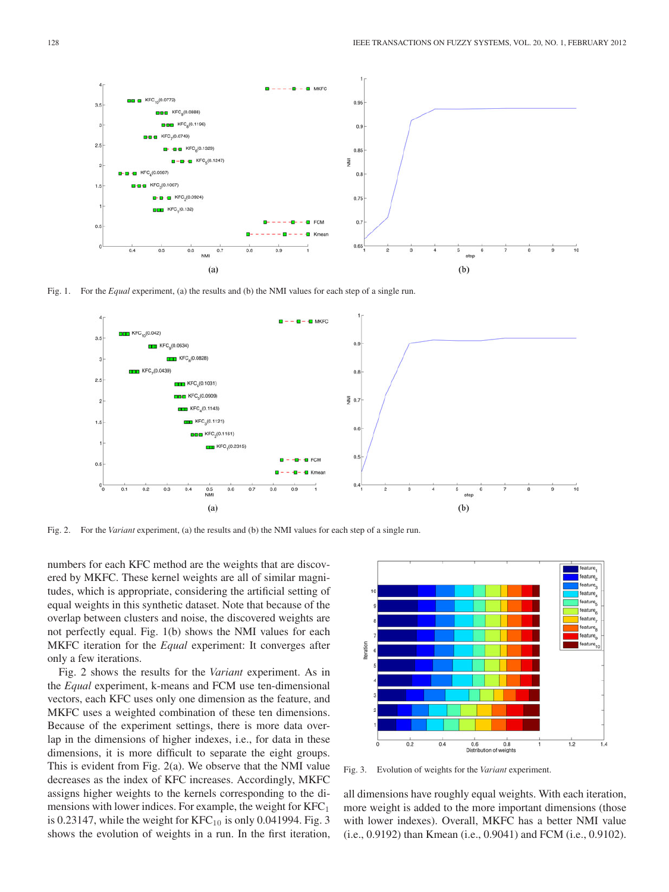

Fig. 1. For the *Equal* experiment, (a) the results and (b) the NMI values for each step of a single run.



Fig. 2. For the *Variant* experiment, (a) the results and (b) the NMI values for each step of a single run.

numbers for each KFC method are the weights that are discovered by MKFC. These kernel weights are all of similar magnitudes, which is appropriate, considering the artificial setting of equal weights in this synthetic dataset. Note that because of the overlap between clusters and noise, the discovered weights are not perfectly equal. Fig. 1(b) shows the NMI values for each MKFC iteration for the *Equal* experiment: It converges after only a few iterations.

Fig. 2 shows the results for the *Variant* experiment. As in the *Equal* experiment, k-means and FCM use ten-dimensional vectors, each KFC uses only one dimension as the feature, and MKFC uses a weighted combination of these ten dimensions. Because of the experiment settings, there is more data overlap in the dimensions of higher indexes, i.e., for data in these dimensions, it is more difficult to separate the eight groups. This is evident from Fig. 2(a). We observe that the NMI value decreases as the index of KFC increases. Accordingly, MKFC assigns higher weights to the kernels corresponding to the dimensions with lower indices. For example, the weight for  $KFC<sub>1</sub>$ is 0.23147, while the weight for  $KFC_{10}$  is only 0.041994. Fig. 3 shows the evolution of weights in a run. In the first iteration,



Fig. 3. Evolution of weights for the *Variant* experiment.

all dimensions have roughly equal weights. With each iteration, more weight is added to the more important dimensions (those with lower indexes). Overall, MKFC has a better NMI value (i.e., 0.9192) than Kmean (i.e., 0.9041) and FCM (i.e., 0.9102).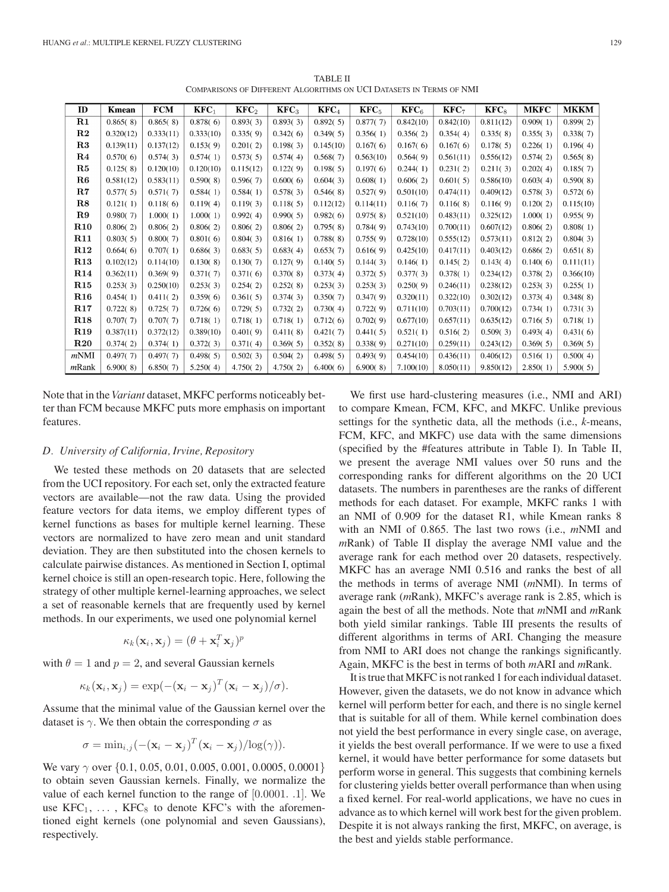TABLE II COMPARISONS OF DIFFERENT ALGORITHMS ON UCI DATASETS IN TERMS OF NMI

| $\mathbf{D}$ | Kmean     | <b>FCM</b> | $KFC_1$   | KFC <sub>2</sub> | KFC <sub>3</sub> | KFC <sub>4</sub> | KFC <sub>5</sub> | KFC <sub>6</sub> | KFC <sub>7</sub> | $KFC_8$   | <b>MKFC</b> | <b>MKKM</b> |
|--------------|-----------|------------|-----------|------------------|------------------|------------------|------------------|------------------|------------------|-----------|-------------|-------------|
| R1           | 0.865(8)  | 0.865(8)   | 0.878(6)  | 0.893(3)         | 0.893(3)         | 0.892(5)         | 0.877(7)         | 0.842(10)        | 0.842(10)        | 0.811(12) | 0.909(1)    | 0.899(2)    |
| R2           | 0.320(12) | 0.333(11)  | 0.333(10) | 0.335(9)         | 0.342(6)         | 0.349(5)         | 0.356(1)         | 0.356(2)         | 0.354(4)         | 0.335(8)  | 0.355(3)    | 0.338(7)    |
| R3           | 0.139(11) | 0.137(12)  | 0.153(9)  | 0.201(2)         | 0.198(3)         | 0.145(10)        | 0.167(6)         | 0.167(6)         | 0.167(6)         | 0.178(5)  | 0.226(1)    | 0.196(4)    |
| R4           | 0.570(6)  | 0.574(3)   | 0.574(1)  | 0.573(5)         | 0.574(4)         | 0.568(7)         | 0.563(10)        | 0.564(9)         | 0.561(11)        | 0.556(12) | 0.574(2)    | 0.565(8)    |
| R5           | 0.125(8)  | 0.120(10)  | 0.120(10) | 0.115(12)        | 0.122(9)         | 0.198(5)         | 0.197(6)         | 0.244(1)         | 0.231(2)         | 0.211(3)  | 0.202(4)    | 0.185(7)    |
| $_{\rm R6}$  | 0.581(12) | 0.583(11)  | 0.590(8)  | 0.596(7)         | 0.600(6)         | 0.604(3)         | 0.608(1)         | 0.606(2)         | 0.601(5)         | 0.586(10) | 0.603(4)    | 0.590(8)    |
| $_{\rm R7}$  | 0.577(5)  | 0.571(7)   | 0.584(1)  | 0.584(1)         | 0.578(3)         | 0.546(8)         | 0.527(9)         | 0.501(10)        | 0.474(11)        | 0.409(12) | 0.578(3)    | 0.572(6)    |
| $_{\rm R8}$  | 0.121(1)  | 0.118(6)   | 0.119(4)  | 0.119(3)         | 0.118(5)         | 0.112(12)        | 0.114(11)        | 0.116(7)         | 0.116(8)         | 0.116(9)  | 0.120(2)    | 0.115(10)   |
| R9           | 0.980(7)  | 1.000(1)   | 1.000(1)  | 0.992(4)         | 0.990(5)         | 0.982(6)         | 0.975(8)         | 0.521(10)        | 0.483(11)        | 0.325(12) | 1.000(1)    | 0.955(9)    |
| <b>R10</b>   | 0.806(2)  | 0.806(2)   | 0.806(2)  | 0.806(2)         | 0.806(2)         | 0.795(8)         | 0.784(9)         | 0.743(10)        | 0.700(11)        | 0.607(12) | 0.806(2)    | 0.808(1)    |
| R11          | 0.803(5)  | 0.800(7)   | 0.801(6)  | 0.804(3)         | 0.816(1)         | 0.788(8)         | 0.755(9)         | 0.728(10)        | 0.555(12)        | 0.573(11) | 0.812(2)    | 0.804(3)    |
| <b>R12</b>   | 0.664(6)  | 0.707(1)   | 0.686(3)  | 0.683(5)         | 0.683(4)         | 0.653(7)         | 0.616(9)         | 0.425(10)        | 0.417(11)        | 0.403(12) | 0.686(2)    | 0.651(8)    |
| R13          | 0.102(12) | 0.114(10)  | 0.130(8)  | 0.130(7)         | 0.127(9)         | 0.140(5)         | 0.144(3)         | 0.146(1)         | 0.145(2)         | 0.143(4)  | 0.140(6)    | 0.111(11)   |
| <b>R14</b>   | 0.362(11) | 0.369(9)   | 0.371(7)  | 0.371(6)         | 0.370(8)         | 0.373(4)         | 0.372(5)         | 0.377(3)         | 0.378(1)         | 0.234(12) | 0.378(2)    | 0.366(10)   |
| <b>R15</b>   | 0.253(3)  | 0.250(10)  | 0.253(3)  | 0.254(2)         | 0.252(8)         | 0.253(3)         | 0.253(3)         | 0.250(9)         | 0.246(11)        | 0.238(12) | 0.253(3)    | 0.255(1)    |
| <b>R16</b>   | 0.454(1)  | 0.411(2)   | 0.359(6)  | 0.361(5)         | 0.374(3)         | 0.350(7)         | 0.347(9)         | 0.320(11)        | 0.322(10)        | 0.302(12) | 0.373(4)    | 0.348(8)    |
| <b>R17</b>   | 0.722(8)  | 0.725(7)   | 0.726(6)  | 0.729(5)         | 0.732(2)         | 0.730(4)         | 0.722(9)         | 0.711(10)        | 0.703(11)        | 0.700(12) | 0.734(1)    | 0.731(3)    |
| <b>R18</b>   | 0.707(7)  | 0.707(7)   | 0.718(1)  | 0.718(1)         | 0.718(1)         | 0.712(6)         | 0.702(9)         | 0.677(10)        | 0.657(11)        | 0.635(12) | 0.716(5)    | 0.718(1)    |
| <b>R19</b>   | 0.387(11) | 0.372(12)  | 0.389(10) | 0.401(9)         | 0.411(8)         | 0.421(7)         | 0.441(5)         | 0.521(1)         | 0.516(2)         | 0.509(3)  | 0.493(4)    | 0.431(6)    |
| $R_{20}$     | 0.374(2)  | 0.374(1)   | 0.372(3)  | 0.371(4)         | 0.369(5)         | 0.352(8)         | 0.338(9)         | 0.271(10)        | 0.259(11)        | 0.243(12) | 0.369(5)    | 0.369(5)    |
| mNMI         | 0.497(7)  | 0.497(7)   | 0.498(5)  | 0.502(3)         | 0.504(2)         | 0.498(5)         | 0.493(9)         | 0.454(10)        | 0.436(11)        | 0.406(12) | 0.516(1)    | 0.500(4)    |
| $m$ Rank     | 6.900(8)  | 6.850(7)   | 5.250(4)  | 4.750(2)         | 4.750(2)         | 6.400(6)         | 6.900(8)         | 7.100(10)        | 8.050(11)        | 9.850(12) | 2.850(1)    | 5.900(5)    |

Note that in the *Variant* dataset, MKFC performs noticeably better than FCM because MKFC puts more emphasis on important features.

#### *D. University of California, Irvine, Repository*

We tested these methods on 20 datasets that are selected from the UCI repository. For each set, only the extracted feature vectors are available—not the raw data. Using the provided feature vectors for data items, we employ different types of kernel functions as bases for multiple kernel learning. These vectors are normalized to have zero mean and unit standard deviation. They are then substituted into the chosen kernels to calculate pairwise distances. As mentioned in Section I, optimal kernel choice is still an open-research topic. Here, following the strategy of other multiple kernel-learning approaches, we select a set of reasonable kernels that are frequently used by kernel methods. In our experiments, we used one polynomial kernel

$$
\kappa_k(\mathbf{x}_i, \mathbf{x}_j) = (\theta + \mathbf{x}_i^T \mathbf{x}_j)^p
$$

with  $\theta = 1$  and  $p = 2$ , and several Gaussian kernels

$$
\kappa_k(\mathbf{x}_i, \mathbf{x}_j) = \exp(-(\mathbf{x}_i - \mathbf{x}_j)^T (\mathbf{x}_i - \mathbf{x}_j)/\sigma).
$$

Assume that the minimal value of the Gaussian kernel over the dataset is  $\gamma$ . We then obtain the corresponding  $\sigma$  as

$$
\sigma = \min_{i,j} \left( -(\mathbf{x}_i - \mathbf{x}_j)^T (\mathbf{x}_i - \mathbf{x}_j) / \log(\gamma) \right).
$$

We vary γ over {0.1, 0.05, 0.01, 0.005, 0.001, 0.0005, 0.0001} to obtain seven Gaussian kernels. Finally, we normalize the value of each kernel function to the range of [0.0001. .1]. We use  $KFC_1$ ,  $\ldots$ ,  $KFC_8$  to denote  $KFC^s$  with the aforementioned eight kernels (one polynomial and seven Gaussians), respectively.

We first use hard-clustering measures (i.e., NMI and ARI) to compare Kmean, FCM, KFC, and MKFC. Unlike previous settings for the synthetic data, all the methods (i.e., *k*-means, FCM, KFC, and MKFC) use data with the same dimensions (specified by the #features attribute in Table I). In Table II, we present the average NMI values over 50 runs and the corresponding ranks for different algorithms on the 20 UCI datasets. The numbers in parentheses are the ranks of different methods for each dataset. For example, MKFC ranks 1 with an NMI of 0.909 for the dataset R1, while Kmean ranks 8 with an NMI of 0.865. The last two rows (i.e., *mNMI* and *m*Rank) of Table II display the average NMI value and the average rank for each method over 20 datasets, respectively. MKFC has an average NMI 0.516 and ranks the best of all the methods in terms of average NMI (*m*NMI). In terms of average rank (*m*Rank), MKFC's average rank is 2.85, which is again the best of all the methods. Note that *m*NMI and *m*Rank both yield similar rankings. Table III presents the results of different algorithms in terms of ARI. Changing the measure from NMI to ARI does not change the rankings significantly. Again, MKFC is the best in terms of both *m*ARI and *m*Rank.

It is true that MKFC is not ranked 1 for each individual dataset. However, given the datasets, we do not know in advance which kernel will perform better for each, and there is no single kernel that is suitable for all of them. While kernel combination does not yield the best performance in every single case, on average, it yields the best overall performance. If we were to use a fixed kernel, it would have better performance for some datasets but perform worse in general. This suggests that combining kernels for clustering yields better overall performance than when using a fixed kernel. For real-world applications, we have no cues in advance as to which kernel will work best for the given problem. Despite it is not always ranking the first, MKFC, on average, is the best and yields stable performance.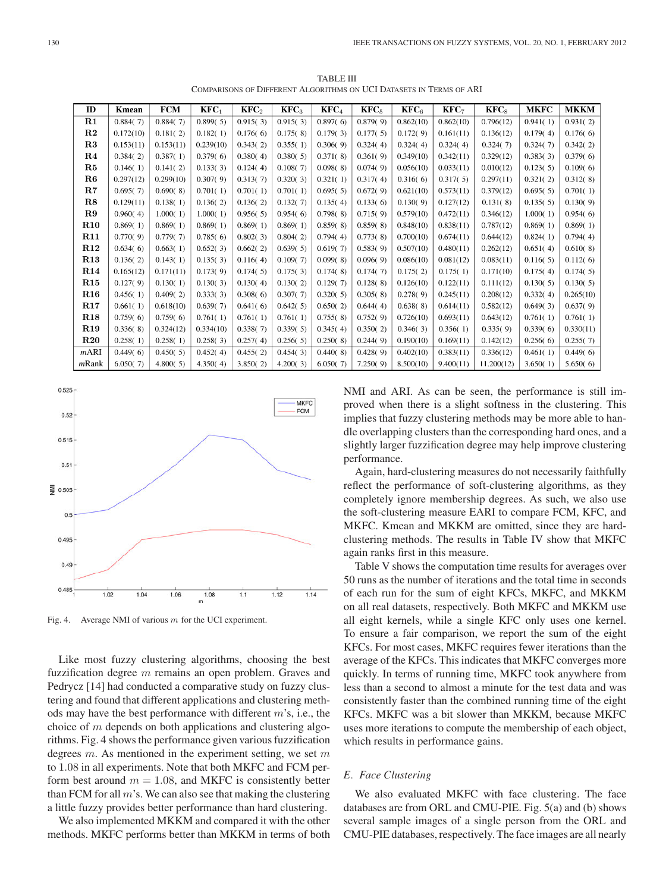TABLE III COMPARISONS OF DIFFERENT ALGORITHMS ON UCI DATASETS IN TERMS OF ARI

| ID             | Kmean     | <b>FCM</b>         | $KFC_1$   | KFC <sub>2</sub> | KFC <sub>3</sub> | $\text{KFC}_4$ | KFC <sub>5</sub> | KFC <sub>6</sub> | KFC <sub>7</sub> | $KFC_8$    | <b>MKFC</b> | <b>MKKM</b> |
|----------------|-----------|--------------------|-----------|------------------|------------------|----------------|------------------|------------------|------------------|------------|-------------|-------------|
| $\mathbf{R}1$  | 0.884(7)  | 0.884(7)           | 0.899(5)  | 0.915(3)         | 0.915(3)         | 0.897(6)       | 0.879(9)         | 0.862(10)        | 0.862(10)        | 0.796(12)  | 0.941(1)    | 0.931(2)    |
| R <sub>2</sub> | 0.172(10) | 0.181(2)           | 0.182(1)  | 0.176(6)         | 0.175(8)         | 0.179(3)       | 0.177(5)         | 0.172(9)         | 0.161(11)        | 0.136(12)  | 0.179(4)    | 0.176(6)    |
| R3             | 0.153(11) | 0.153(11)          | 0.239(10) | 0.343(2)         | 0.355(1)         | 0.306(9)       | 0.324(4)         | 0.324(4)         | 0.324(4)         | 0.324(7)   | 0.324(7)    | 0.342(2)    |
| R4             | 0.384(2)  | 0.387(1)           | 0.379(6)  | 0.380(4)         | 0.380(5)         | 0.371(8)       | 0.361(9)         | 0.349(10)        | 0.342(11)        | 0.329(12)  | 0.383(3)    | 0.379(6)    |
| $\bf R5$       | 0.146(1)  | 0.141(2)           | 0.133(3)  | 0.124(4)         | 0.108(7)         | 0.098(8)       | 0.074(9)         | 0.056(10)        | 0.033(11)        | 0.010(12)  | 0.123(5)    | 0.109(6)    |
| $_{\rm R6}$    | 0.297(12) | 0.299(10)          | 0.307(9)  | 0.313(7)         | 0.320(3)         | 0.321(1)       | 0.317(4)         | 0.316(6)         | 0.317(5)         | 0.297(11)  | 0.321(2)    | 0.312(8)    |
| R7             | 0.695(7)  | $0.690(^{\circ}8)$ | 0.701(1)  | 0.701(1)         | 0.701(1)         | 0.695(5)       | 0.672(9)         | 0.621(10)        | 0.573(11)        | 0.379(12)  | 0.695(5)    | 0.701(1)    |
| R8             | 0.129(11) | 0.138(1)           | 0.136(2)  | 0.136(2)         | 0.132(7)         | 0.135(4)       | 0.133(6)         | 0.130(9)         | 0.127(12)        | 0.131(8)   | 0.135(5)    | 0.130(9)    |
| R9             | 0.960(4)  | 1.000(1)           | 1.000(1)  | 0.956(5)         | 0.954(6)         | 0.798(8)       | 0.715(9)         | 0.579(10)        | 0.472(11)        | 0.346(12)  | 1.000(1)    | 0.954(6)    |
| <b>R10</b>     | 0.869(1)  | 0.869(1)           | 0.869(1)  | 0.869(1)         | 0.869(1)         | 0.859(8)       | 0.859(8)         | 0.848(10)        | 0.838(11)        | 0.787(12)  | 0.869(1)    | 0.869(1)    |
| <b>R11</b>     | 0.770(9)  | 0.779(7)           | 0.785(6)  | 0.802(3)         | 0.804(2)         | 0.794(4)       | 0.773(8)         | 0.700(10)        | 0.674(11)        | 0.644(12)  | 0.824(1)    | 0.794(4)    |
| <b>R12</b>     | 0.634(6)  | 0.663(1)           | 0.652(3)  | 0.662(2)         | 0.639(5)         | 0.619(7)       | 0.583(9)         | 0.507(10)        | 0.480(11)        | 0.262(12)  | 0.651(4)    | 0.610(8)    |
| <b>R13</b>     | 0.136(2)  | 0.143(1)           | 0.135(3)  | 0.116(4)         | 0.109(7)         | 0.099(8)       | 0.096(9)         | 0.086(10)        | 0.081(12)        | 0.083(11)  | 0.116(5)    | 0.112(6)    |
| <b>R14</b>     | 0.165(12) | 0.171(11)          | 0.173(9)  | 0.174(5)         | 0.175(3)         | 0.174(8)       | 0.174(7)         | 0.175(2)         | 0.175(1)         | 0.171(10)  | 0.175(4)    | 0.174(5)    |
| <b>R15</b>     | 0.127(9)  | 0.130(1)           | 0.130(3)  | 0.130(4)         | 0.130(2)         | 0.129(7)       | 0.128(8)         | 0.126(10)        | 0.122(11)        | 0.111(12)  | 0.130(5)    | 0.130(5)    |
| <b>R16</b>     | 0.456(1)  | 0.409(2)           | 0.333(3)  | 0.308(6)         | 0.307(7)         | 0.320(5)       | 0.305(8)         | 0.278(9)         | 0.245(11)        | 0.208(12)  | 0.332(4)    | 0.265(10)   |
| <b>R17</b>     | 0.661(1)  | 0.618(10)          | 0.639(7)  | 0.641(6)         | 0.642(5)         | 0.650(2)       | 0.644(4)         | 0.638(8)         | 0.614(11)        | 0.582(12)  | 0.649(3)    | 0.637(9)    |
| <b>R18</b>     | 0.759(6)  | 0.759(6)           | 0.761(1)  | 0.761(1)         | 0.761(1)         | 0.755(8)       | 0.752(9)         | 0.726(10)        | 0.693(11)        | 0.643(12)  | 0.761(1)    | 0.761(1)    |
| <b>R</b> 19    | 0.336(8)  | 0.324(12)          | 0.334(10) | 0.338(7)         | 0.339(5)         | 0.345(4)       | 0.350(2)         | 0.346(3)         | 0.356(1)         | 0.335(9)   | 0.339(6)    | 0.330(11)   |
| $R_{20}$       | 0.258(1)  | 0.258(1)           | 0.258(3)  | 0.257(4)         | 0.256(5)         | 0.250(8)       | 0.244(9)         | 0.190(10)        | 0.169(11)        | 0.142(12)  | 0.256(6)    | 0.255(7)    |
| mARI           | 0.449(6)  | 0.450(5)           | 0.452(4)  | 0.455(2)         | 0.454(3)         | 0.440(8)       | 0.428(9)         | 0.402(10)        | 0.383(11)        | 0.336(12)  | 0.461(1)    | 0.449(6)    |
| $m$ Rank       | 6.050(7)  | 4.800(5)           | 4.350(4)  | 3.850(2)         | 4.200(3)         | 6.050(7)       | 7.250(9)         | 8.500(10)        | 9.400(11)        | 11.200(12) | 3.650(1)    | 5.650(6)    |



Fig. 4. Average NMI of various  $m$  for the UCI experiment.

Like most fuzzy clustering algorithms, choosing the best fuzzification degree m remains an open problem. Graves and Pedrycz [14] had conducted a comparative study on fuzzy clustering and found that different applications and clustering methods may have the best performance with different  $m$ 's, i.e., the choice of  $m$  depends on both applications and clustering algorithms. Fig. 4 shows the performance given various fuzzification degrees  $m$ . As mentioned in the experiment setting, we set  $m$ to 1.08 in all experiments. Note that both MKFC and FCM perform best around  $m = 1.08$ , and MKFC is consistently better than FCM for all  $m$ 's. We can also see that making the clustering a little fuzzy provides better performance than hard clustering.

We also implemented MKKM and compared it with the other methods. MKFC performs better than MKKM in terms of both NMI and ARI. As can be seen, the performance is still improved when there is a slight softness in the clustering. This implies that fuzzy clustering methods may be more able to handle overlapping clusters than the corresponding hard ones, and a slightly larger fuzzification degree may help improve clustering performance.

Again, hard-clustering measures do not necessarily faithfully reflect the performance of soft-clustering algorithms, as they completely ignore membership degrees. As such, we also use the soft-clustering measure EARI to compare FCM, KFC, and MKFC. Kmean and MKKM are omitted, since they are hardclustering methods. The results in Table IV show that MKFC again ranks first in this measure.

Table V shows the computation time results for averages over 50 runs as the number of iterations and the total time in seconds of each run for the sum of eight KFCs, MKFC, and MKKM on all real datasets, respectively. Both MKFC and MKKM use all eight kernels, while a single KFC only uses one kernel. To ensure a fair comparison, we report the sum of the eight KFCs. For most cases, MKFC requires fewer iterations than the average of the KFCs. This indicates that MKFC converges more quickly. In terms of running time, MKFC took anywhere from less than a second to almost a minute for the test data and was consistently faster than the combined running time of the eight KFCs. MKFC was a bit slower than MKKM, because MKFC uses more iterations to compute the membership of each object, which results in performance gains.

#### *E. Face Clustering*

We also evaluated MKFC with face clustering. The face databases are from ORL and CMU-PIE. Fig. 5(a) and (b) shows several sample images of a single person from the ORL and CMU-PIE databases, respectively. The face images are all nearly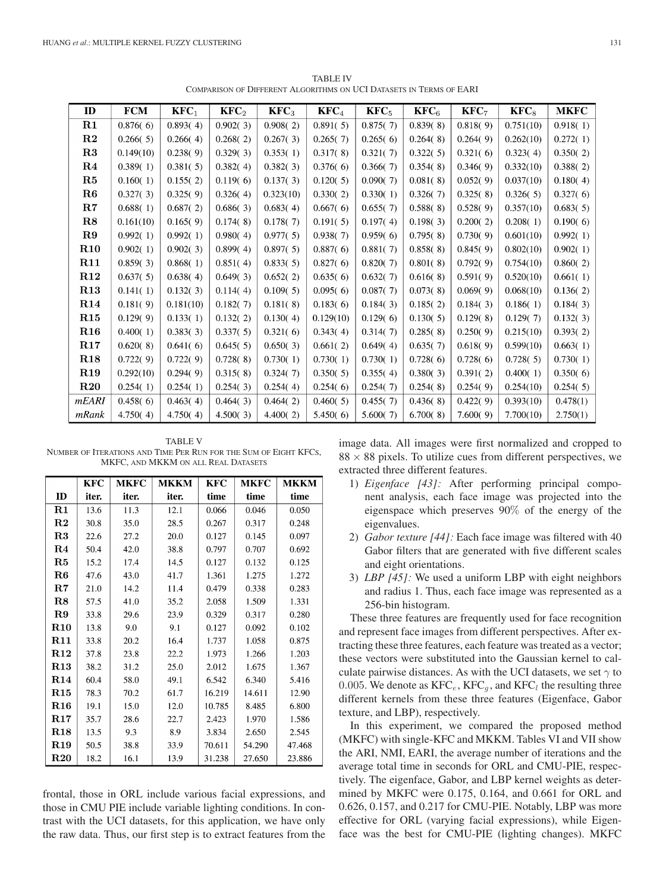ID **FCM**  $\mathbf{KFC}_1$  $\mathbf{KFC}_2$  $KFC<sub>3</sub>$  $\mathbf{KFC}_4$  $KFC<sub>5</sub>$  $KFC<sub>6</sub>$  $KFC<sub>7</sub>$  $\mathbf{KFC}_8$ **MKFC**  $R1$  $0.876(6)$  $0.893(4)$  $0.902(3)$  $0.908(2)$  $0.891(5)$  $0.875(7)$  $0.839(8)$  $0.818(9)$  $0.751(10)$  $0.918(1)$  $\mathbf{R2}$  $0.266(5)$  $0.266(4)$  $0.268(2)$  $0.267(3)$  $0.265(7)$  $0.265(6)$  $0.264(8)$  $0.264(9)$  $0.262(10)$  $0.272(1)$  $0.350(2)$  $0.149(10)$  $R3$  $0.238(9)$  $0.329(3)$  $0.353(1)$  $0.317(8)$  $0.321(7)$  $0.322(5)$  $0.321(6)$  $0.323(4)$  $\overline{R4}$  $0.389(1)$  $0.381(5)$  $0.382(4)$  $0.382(3)$  $0.376(6)$  $0.366(7)$  $0.354(8)$  $0.346(9)$  $0.332(10)$  $0.388(2)$  $R5$  $0.160(1)$  $0.155(2)$  $0.119(6)$  $0.137(3)$  $0.120(5)$  $0.090(7)$  $0.081(8)$  $0.052(9)$  $0.037(10)$  $0.180(4)$  $R6$  $0.325(9)$  $0.327(6)$  $0.327(3)$  $0.326(4)$  $0.323(10)$  $0.330(2)$  $0.330(1)$  $0.326(7)$  $0.325(8)$  $0.326(5)$  $R7$  $0.688(1)$  $0.687(2)$  $0.686(3)$  $0.683(4)$  $0.667(6)$  $0.655(7)$  $0.588(8)$  $0.528(9)$  $0.357(10)$  $0.683(5)$  $R8$  $0.178(7)$  $0.191(5)$  $0.197(4)$  $0.198(3)$  $0.208(1)$  $0.190(6)$  $0.161(10)$  $0.165(9)$  $0.174(8)$  $0.200(2)$  $R9$  $0.992(1)$  $0.992(1)$  $0.980(4)$  $0.977(5)$  $0.938(7)$  $0.959(6)$  $0.795(8)$  $0.730(9)$  $0.601(10)$  $0.992(1)$ **R10**  $0.902(1)$  $0.902(3)$  $0.899(4)$  $0.897(5)$  $0.887(6)$  $0.881(7)$  $0.858(8)$  $0.845(9)$  $0.802(10)$  $0.902(1)$ **R11**  $0.820(7)$  $0.801(8)$  $0.792(9)$  $0.754(10)$  $0.860(2)$  $0.859(3)$  $0.868(1)$  $0.851(4)$  $0.833(5)$  $0.827(6)$ **R12**  $0.637(5)$  $0.638(4)$  $0.649(3)$  $0.652(2)$  $0.635(6)$  $0.632(7)$  $0.616(8)$  $0.591(9)$  $0.520(10)$  $0.661(1)$ **R13**  $0.141(1)$  $0.132(3)$  $0.114(4)$  $0.109(5)$  $0.095(6)$  $0.087(7)$  $0.073(8)$  $0.069(9)$  $0.068(10)$  $0.136(2)$ **R14**  $0.181(9)$  $0.181(10)$  $0.182(7)$  $0.181(8)$  $0.183(6)$  $0.184(3)$  $0.185(2)$  $0.184(3)$  $0.186(1)$  $0.184(3)$ **R15**  $0.129(9)$  $0.133(1)$  $0.132(2)$  $0.129(10)$  $0.129(6)$  $0.130(5)$  $0.129(8)$  $0.129(7)$  $0.132(3)$  $0.130(4)$ **R16**  $0.400(1)$  $0.383(3)$  $0.337(5)$  $0.321(6)$  $0.343(4)$  $0.314(7)$  $0.285(8)$  $0.250(9)$  $0.215(10)$  $0.393(2)$ **R17**  $0.620(^{\circ}8)$  $0.641(6)$  $0.645(5)$  $0.650(3)$  $0.661(2)$  $0.649(4)$  $0.635(7)$  $0.618(9)$  $0.599(10)$  $0.663(1)$ **R18**  $0.722(9)$  $0.722(9)$  $0.728(8)$  $0.730(1)$  $0.730(1)$  $0.730(1)$  $0.728(6)$  $0.728(6)$  $0.728(5)$  $0.730(1)$ **R19**  $0.292(10)$  $0.294(9)$  $0.315(8)$  $0.350(5)$  $0.355(4)$  $0.380(3)$  $0.391(2)$  $0.400(1)$  $0.350(6)$  $0.324(7)$  $R_{20}$  $0.254(1)$  $0.254(1)$  $0.254(3)$  $0.254(4)$  $0.254(6)$  $0.254(7)$  $0.254(8)$  $0.254(9)$  $0.254(10)$  $0.254(5)$  $mEARI$  $0.458(6)$  $0.463(4)$  $0.464(3)$  $0.464(2)$  $0.460(^{5})$  $0.455(7)$  $0.436(8)$  $0.422(9)$  $0.393(10)$  $0.478(1)$  $4.750(4)$  $7.600(9)$ mRank  $4.750(4)$  $4.500(3)$  $5.450(6)$  $5.600(7)$  $6.700(8)$  $7.700(10)$  $2.750(1)$  $4.400(2)$ 

TABLE IV COMPARISON OF DIFFERENT ALGORITHMS ON UCI DATASETS IN TERMS OF EARI

TABLE V NUMBER OF ITERATIONS AND TIME PER RUN FOR THE SUM OF EIGHT KFCS, MKFC, AND MKKM ON ALL REAL DATASETS

|                | KFC   | <b>MKFC</b> | <b>MKKM</b> | <b>KFC</b> | MKFC   | <b>MKKM</b> |
|----------------|-------|-------------|-------------|------------|--------|-------------|
| ID             | iter. | iter.       | iter.       | time       | time   | time        |
| $\mathbf{R}1$  | 13.6  | 11.3        | 12.1        | 0.066      | 0.046  | 0.050       |
| R <sub>2</sub> | 30.8  | 35.0        | 28.5        | 0.267      | 0.317  | 0.248       |
| R3             | 22.6  | 27.2        | 20.0        | 0.127      | 0.145  | 0.097       |
| R4             | 50.4  | 42.0        | 38.8        | 0.797      | 0.707  | 0.692       |
| R5             | 15.2  | 17.4        | 14.5        | 0.127      | 0.132  | 0.125       |
| $\bf R6$       | 47.6  | 43.0        | 41.7        | 1.361      | 1.275  | 1.272       |
| R7             | 21.0  | 14.2        | 11.4        | 0.479      | 0.338  | 0.283       |
| R8             | 57.5  | 41.0        | 35.2        | 2.058      | 1.509  | 1.331       |
| R9             | 33.8  | 29.6        | 23.9        | 0.329      | 0.317  | 0.280       |
| R10            | 13.8  | 9.0         | 9.1         | 0.127      | 0.092  | 0.102       |
| R11            | 33.8  | 20.2        | 16.4        | 1.737      | 1.058  | 0.875       |
| R12            | 37.8  | 23.8        | 22.2        | 1.973      | 1.266  | 1.203       |
| <b>R13</b>     | 38.2  | 31.2        | 25.0        | 2.012      | 1.675  | 1.367       |
| <b>R14</b>     | 60.4  | 58.0        | 49.1        | 6.542      | 6.340  | 5.416       |
| R15            | 78.3  | 70.2        | 61.7        | 16.219     | 14.611 | 12.90       |
| $\bf R16$      | 19.1  | 15.0        | 12.0        | 10.785     | 8.485  | 6.800       |
| R17            | 35.7  | 28.6        | 22.7        | 2.423      | 1.970  | 1.586       |
| <b>R18</b>     | 13.5  | 9.3         | 8.9         | 3.834      | 2.650  | 2.545       |
| <b>R19</b>     | 50.5  | 38.8        | 33.9        | 70.611     | 54.290 | 47.468      |
| $R_{20}$       | 18.2  | 16.1        | 13.9        | 31.238     | 27.650 | 23.886      |

frontal, those in ORL include various facial expressions, and those in CMU PIE include variable lighting conditions. In contrast with the UCI datasets, for this application, we have only the raw data. Thus, our first step is to extract features from the image data. All images were first normalized and cropped to  $88 \times 88$  pixels. To utilize cues from different perspectives, we extracted three different features.

- 1) *Eigenface [43]:* After performing principal component analysis, each face image was projected into the eigenspace which preserves 90% of the energy of the eigenvalues.
- 2) *Gabor texture [44]:* Each face image was filtered with 40 Gabor filters that are generated with five different scales and eight orientations.
- 3) *LBP [45]:* We used a uniform LBP with eight neighbors and radius 1. Thus, each face image was represented as a 256-bin histogram.

These three features are frequently used for face recognition and represent face images from different perspectives. After extracting these three features, each feature was treated as a vector; these vectors were substituted into the Gaussian kernel to calculate pairwise distances. As with the UCI datasets, we set  $\gamma$  to 0.005. We denote as  $KFC_e$ ,  $KFC_q$ , and  $KFC_l$  the resulting three different kernels from these three features (Eigenface, Gabor texture, and LBP), respectively.

In this experiment, we compared the proposed method (MKFC) with single-KFC and MKKM. Tables VI and VII show the ARI, NMI, EARI, the average number of iterations and the average total time in seconds for ORL and CMU-PIE, respectively. The eigenface, Gabor, and LBP kernel weights as determined by MKFC were 0.175, 0.164, and 0.661 for ORL and 0.626, 0.157, and 0.217 for CMU-PIE. Notably, LBP was more effective for ORL (varying facial expressions), while Eigenface was the best for CMU-PIE (lighting changes). MKFC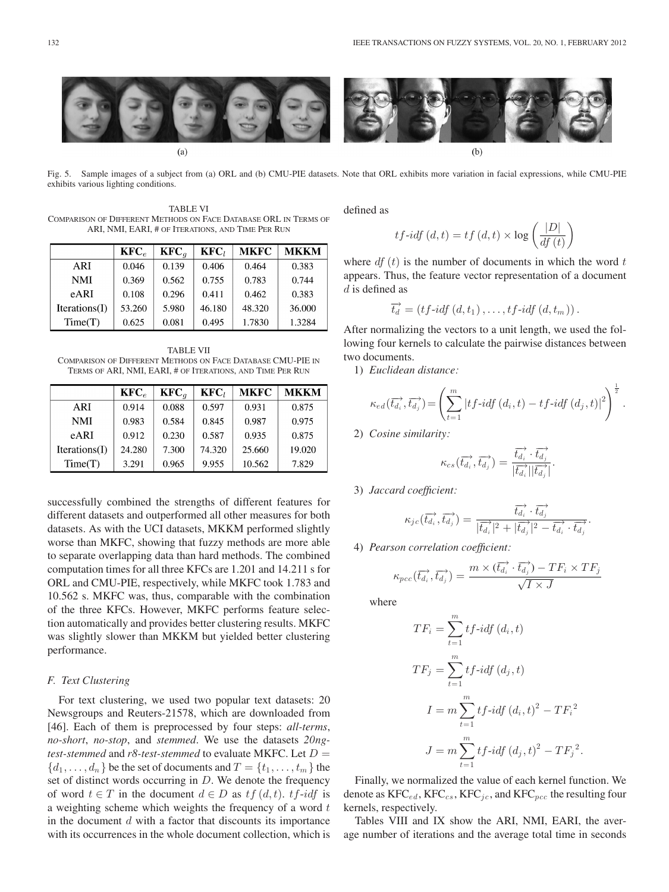

Fig. 5. Sample images of a subject from (a) ORL and (b) CMU-PIE datasets. Note that ORL exhibits more variation in facial expressions, while CMU-PIE exhibits various lighting conditions.

TABLE VI COMPARISON OF DIFFERENT METHODS ON FACE DATABASE ORL IN TERMS OF ARI, NMI, EARI, # OF ITERATIONS, AND TIME PER RUN

|               | $\mathbf{KFC}_{e}$ | $KFC_a$ | $KFC_i$ | <b>MKFC</b> | <b>MKKM</b> |
|---------------|--------------------|---------|---------|-------------|-------------|
| ARI           | 0.046              | 0.139   | 0.406   | 0.464       | 0.383       |
| <b>NMI</b>    | 0.369              | 0.562   | 0.755   | 0.783       | 0.744       |
| eARI          | 0.108              | 0.296   | 0.411   | 0.462       | 0.383       |
| Iterations(I) | 53.260             | 5.980   | 46.180  | 48.320      | 36.000      |
| Time(T)       | 0.625              | 0.081   | 0.495   | 1.7830      | 1.3284      |

TABLE VII COMPARISON OF DIFFERENT METHODS ON FACE DATABASE CMU-PIE IN TERMS OF ARI, NMI, EARI, # OF ITERATIONS, AND TIME PER RUN

|               | KFC <sub>e</sub> | $\mathbf{KFC}_q$ | $KFC_1$ | <b>MKFC</b> | <b>MKKM</b> |
|---------------|------------------|------------------|---------|-------------|-------------|
| ARI           | 0.914            | 0.088            | 0.597   | 0.931       | 0.875       |
| NMI           | 0.983            | 0.584            | 0.845   | 0.987       | 0.975       |
| eARI          | 0.912            | 0.230            | 0.587   | 0.935       | 0.875       |
| Iterations(I) | 24.280           | 7.300            | 74.320  | 25.660      | 19.020      |
| Time(T)       | 3.291            | 0.965            | 9.955   | 10.562      | 7.829       |

successfully combined the strengths of different features for different datasets and outperformed all other measures for both datasets. As with the UCI datasets, MKKM performed slightly worse than MKFC, showing that fuzzy methods are more able to separate overlapping data than hard methods. The combined computation times for all three KFCs are 1.201 and 14.211 s for ORL and CMU-PIE, respectively, while MKFC took 1.783 and 10.562 s. MKFC was, thus, comparable with the combination of the three KFCs. However, MKFC performs feature selection automatically and provides better clustering results. MKFC was slightly slower than MKKM but yielded better clustering performance.

# *F. Text Clustering*

For text clustering, we used two popular text datasets: 20 Newsgroups and Reuters-21578, which are downloaded from [46]. Each of them is preprocessed by four steps: *all-terms*, *no-short*, *no-stop*, and *stemmed*. We use the datasets *20ngtest-stemmed* and *r8-test-stemmed* to evaluate MKFC. Let D =  ${d_1, \ldots, d_n}$  be the set of documents and  $T = {t_1, \ldots, t_m}$  the set of distinct words occurring in D. We denote the frequency of word  $t \in T$  in the document  $d \in D$  as  $tf(d, t)$ .  $tf$ -idf is a weighting scheme which weights the frequency of a word  $t$ in the document  $d$  with a factor that discounts its importance with its occurrences in the whole document collection, which is defined as

$$
tf \text{-}idf (d, t) = tf (d, t) \times \log \left( \frac{|D|}{df (t)} \right)
$$

where  $df(t)$  is the number of documents in which the word t appears. Thus, the feature vector representation of a document  $d$  is defined as

$$
\overrightarrow{t_d} = (tf \cdot idf(d, t_1), \dots, tf \cdot idf(d, t_m)).
$$

After normalizing the vectors to a unit length, we used the following four kernels to calculate the pairwise distances between two documents.

1) *Euclidean distance:*

$$
\kappa_{ed}(\overrightarrow{t_{d_i}}, \overrightarrow{t_{d_j}}) = \left(\sum_{t=1}^m |tf \cdot idf(d_i, t) - tf \cdot idf(d_j, t)|^2\right)^{\frac{1}{2}}.
$$

2) *Cosine similarity:*

$$
\kappa_{cs}(\overrightarrow{t_{d_i}}, \overrightarrow{t_{d_j}}) = \frac{\overrightarrow{t_{d_i}} \cdot \overrightarrow{t_{d_j}}}{|\overrightarrow{t_{d_i}}||\overrightarrow{t_{d_j}}|}
$$

.

3) *Jaccard coefficient:*

$$
\kappa_{jc}(\overrightarrow{t_{d_i}},\overrightarrow{t_{d_j}})=\frac{\overrightarrow{t_{d_i}}\cdot\overrightarrow{t_{d_j}}}{|\overrightarrow{t_{d_i}}|^2+|\overrightarrow{t_{d_j}}|^2-\overrightarrow{t_{d_i}}\cdot\overrightarrow{t_{d_j}}}.
$$

4) *Pearson correlation coefficient:*

$$
\kappa_{pcc}(\overrightarrow{t_{d_i}}, \overrightarrow{t_{d_j}}) = \frac{m \times (\overrightarrow{t_{d_i}} \cdot \overrightarrow{t_{d_j}}) - TF_i \times TF_j}{\sqrt{I \times J}}
$$

where

$$
TF_i = \sum_{t=1}^{m} tf \cdot idf(d_i, t)
$$
  
\n
$$
TF_j = \sum_{t=1}^{m} tf \cdot idf(d_j, t)
$$
  
\n
$$
I = m \sum_{t=1}^{m} tf \cdot idf(d_i, t)^2 - TF_i^2
$$
  
\n
$$
J = m \sum_{t=1}^{m} tf \cdot idf(d_j, t)^2 - TF_j^2.
$$

Finally, we normalized the value of each kernel function. We denote as  $KFC_{ed}$ ,  $KFC_{cs}$ ,  $KFC_{jc}$ , and  $KFC_{pcc}$  the resulting four kernels, respectively.

Tables VIII and IX show the ARI, NMI, EARI, the average number of iterations and the average total time in seconds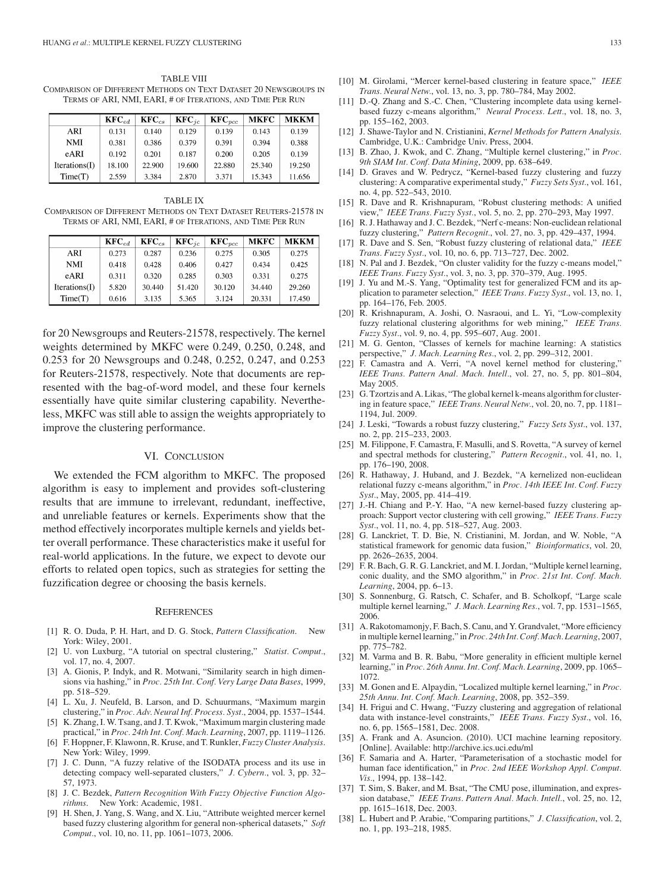TABLE VIII COMPARISON OF DIFFERENT METHODS ON TEXT DATASET 20 NEWSGROUPS IN TERMS OF ARI, NMI, EARI, # OF ITERATIONS, AND TIME PER RUN

|               | $KFC_{ed}$ | $KFC_{cs}$ | $KFC_{ic}$ | $KFC_{ncc}$ | <b>MKFC</b> | <b>MKKM</b> |
|---------------|------------|------------|------------|-------------|-------------|-------------|
| ARI           | 0.131      | 0.140      | 0.129      | 0.139       | 0.143       | 0.139       |
| NMI           | 0.381      | 0.386      | 0.379      | 0.391       | 0.394       | 0.388       |
| eARI          | 0.192      | 0.201      | 0.187      | 0.200       | 0.205       | 0.139       |
| Iterations(I) | 18.100     | 22.900     | 19.600     | 22.880      | 25.340      | 19.250      |
| Time(T)       | 2.559      | 3.384      | 2.870      | 3.371       | 15.343      | 11.656      |

TABLE IX COMPARISON OF DIFFERENT METHODS ON TEXT DATASET REUTERS-21578 IN TERMS OF ARI, NMI, EARI, # OF ITERATIONS, AND TIME PER RUN

|               | $\mathbf{KFC}_{ed}$ | $KFC_{cs}$ | $\mathbf{KFC}_{ic}$ | $\mathbf{KFC}_{pcc}$ | <b>MKFC</b> | <b>MKKM</b> |
|---------------|---------------------|------------|---------------------|----------------------|-------------|-------------|
| ARI           | 0.273               | 0.287      | 0.236               | 0.275                | 0.305       | 0.275       |
| NMI           | 0.418               | 0.428      | 0.406               | 0.427                | 0.434       | 0.425       |
| eARI          | 0.311               | 0.320      | 0.285               | 0.303                | 0.331       | 0.275       |
| Iterations(I) | 5.820               | 30.440     | 51.420              | 30.120               | 34.440      | 29.260      |
| Time(T)       | 0.616               | 3.135      | 5.365               | 3.124                | 20.331      | 17.450      |

for 20 Newsgroups and Reuters-21578, respectively. The kernel weights determined by MKFC were 0.249, 0.250, 0.248, and 0.253 for 20 Newsgroups and 0.248, 0.252, 0.247, and 0.253 for Reuters-21578, respectively. Note that documents are represented with the bag-of-word model, and these four kernels essentially have quite similar clustering capability. Nevertheless, MKFC was still able to assign the weights appropriately to improve the clustering performance.

#### VI. CONCLUSION

We extended the FCM algorithm to MKFC. The proposed algorithm is easy to implement and provides soft-clustering results that are immune to irrelevant, redundant, ineffective, and unreliable features or kernels. Experiments show that the method effectively incorporates multiple kernels and yields better overall performance. These characteristics make it useful for real-world applications. In the future, we expect to devote our efforts to related open topics, such as strategies for setting the fuzzification degree or choosing the basis kernels.

#### **REFERENCES**

- [1] R. O. Duda, P. H. Hart, and D. G. Stock, *Pattern Classification*. New York: Wilev, 2001.
- [2] U. von Luxburg, "A tutorial on spectral clustering," *Statist. Comput.*, vol. 17, no. 4, 2007.
- [3] A. Gionis, P. Indyk, and R. Motwani, "Similarity search in high dimensions via hashing," in *Proc. 25th Int. Conf. Very Large Data Bases*, 1999, pp. 518–529.
- [4] L. Xu, J. Neufeld, B. Larson, and D. Schuurmans, "Maximum margin clustering," in *Proc. Adv. Neural Inf. Process. Syst.*, 2004, pp. 1537–1544.
- [5] K. Zhang, I. W. Tsang, and J. T. Kwok, "Maximum margin clustering made practical," in *Proc. 24th Int. Conf. Mach. Learning*, 2007, pp. 1119–1126.
- [6] F. Hoppner, F. Klawonn, R. Kruse, and T. Runkler, *Fuzzy Cluster Analysis*. New York: Wiley, 1999.
- [7] J. C. Dunn, "A fuzzy relative of the ISODATA process and its use in detecting compacy well-separated clusters," *J. Cybern.*, vol. 3, pp. 32– 57, 1973.
- [8] J. C. Bezdek, *Pattern Recognition With Fuzzy Objective Function Algorithms*. New York: Academic, 1981.
- [9] H. Shen, J. Yang, S. Wang, and X. Liu, "Attribute weighted mercer kernel based fuzzy clustering algorithm for general non-spherical datasets," *Soft Comput.*, vol. 10, no. 11, pp. 1061–1073, 2006.
- [10] M. Girolami, "Mercer kernel-based clustering in feature space," *IEEE Trans. Neural Netw.*, vol. 13, no. 3, pp. 780–784, May 2002.
- [11] D.-O. Zhang and S.-C. Chen, "Clustering incomplete data using kernelbased fuzzy c-means algorithm," *Neural Process. Lett.*, vol. 18, no. 3, pp. 155–162, 2003.
- [12] J. Shawe-Taylor and N. Cristianini, *Kernel Methods for Pattern Analysis*. Cambridge, U.K.: Cambridge Univ. Press, 2004.
- [13] B. Zhao, J. Kwok, and C. Zhang, "Multiple kernel clustering," in *Proc. 9th SIAM Int. Conf. Data Mining*, 2009, pp. 638–649.
- [14] D. Graves and W. Pedrycz, "Kernel-based fuzzy clustering and fuzzy clustering: A comparative experimental study," *Fuzzy Sets Syst.*, vol. 161, no. 4, pp. 522–543, 2010.
- [15] R. Dave and R. Krishnapuram, "Robust clustering methods: A unified view," *IEEE Trans. Fuzzy Syst.*, vol. 5, no. 2, pp. 270–293, May 1997.
- [16] R. J. Hathaway and J. C. Bezdek, "Nerf c-means: Non-euclidean relational fuzzy clustering," *Pattern Recognit.*, vol. 27, no. 3, pp. 429–437, 1994.
- [17] R. Dave and S. Sen, "Robust fuzzy clustering of relational data," *IEEE Trans. Fuzzy Syst.*, vol. 10, no. 6, pp. 713–727, Dec. 2002.
- [18] N. Pal and J. Bezdek, "On cluster validity for the fuzzy c-means model," *IEEE Trans. Fuzzy Syst.*, vol. 3, no. 3, pp. 370–379, Aug. 1995.
- [19] J. Yu and M.-S. Yang, "Optimality test for generalized FCM and its application to parameter selection," *IEEE Trans. Fuzzy Syst.*, vol. 13, no. 1, pp. 164–176, Feb. 2005.
- [20] R. Krishnapuram, A. Joshi, O. Nasraoui, and L. Yi, "Low-complexity fuzzy relational clustering algorithms for web mining," *IEEE Trans. Fuzzy Syst.*, vol. 9, no. 4, pp. 595–607, Aug. 2001.
- [21] M. G. Genton, "Classes of kernels for machine learning: A statistics perspective," *J. Mach. Learning Res.*, vol. 2, pp. 299–312, 2001.
- [22] F. Camastra and A. Verri, "A novel kernel method for clustering," *IEEE Trans. Pattern Anal. Mach. Intell.*, vol. 27, no. 5, pp. 801–804, May 2005.
- [23] G. Tzortzis and A. Likas, "The global kernel k-means algorithm for clustering in feature space," *IEEE Trans. Neural Netw.*, vol. 20, no. 7, pp. 1181– 1194, Jul. 2009.
- [24] J. Leski, "Towards a robust fuzzy clustering," *Fuzzy Sets Syst.*, vol. 137, no. 2, pp. 215–233, 2003.
- [25] M. Filippone, F. Camastra, F. Masulli, and S. Rovetta, "A survey of kernel and spectral methods for clustering," *Pattern Recognit.*, vol. 41, no. 1, pp. 176–190, 2008.
- [26] R. Hathaway, J. Huband, and J. Bezdek, "A kernelized non-euclidean relational fuzzy c-means algorithm," in *Proc. 14th IEEE Int. Conf. Fuzzy Syst.*, May, 2005, pp. 414–419.
- [27] J.-H. Chiang and P.-Y. Hao, "A new kernel-based fuzzy clustering approach: Support vector clustering with cell growing," *IEEE Trans. Fuzzy Syst.*, vol. 11, no. 4, pp. 518–527, Aug. 2003.
- [28] G. Lanckriet, T. D. Bie, N. Cristianini, M. Jordan, and W. Noble, "A statistical framework for genomic data fusion," *Bioinformatics*, vol. 20, pp. 2626–2635, 2004.
- [29] F. R. Bach, G. R. G. Lanckriet, and M. I. Jordan, "Multiple kernel learning, conic duality, and the SMO algorithm," in *Proc. 21st Int. Conf. Mach. Learning*, 2004, pp. 6–13.
- [30] S. Sonnenburg, G. Ratsch, C. Schafer, and B. Scholkopf, "Large scale multiple kernel learning," *J. Mach. Learning Res.*, vol. 7, pp. 1531–1565, 2006.
- [31] A. Rakotomamonjy, F. Bach, S. Canu, and Y. Grandvalet, "More efficiency in multiple kernel learning," in *Proc. 24th Int. Conf. Mach. Learning*, 2007, pp. 775–782.
- [32] M. Varma and B. R. Babu, "More generality in efficient multiple kernel learning," in *Proc. 26th Annu. Int. Conf. Mach. Learning*, 2009, pp. 1065– 1072.
- [33] M. Gonen and E. Alpaydin, "Localized multiple kernel learning," in *Proc. 25th Annu. Int. Conf. Mach. Learning*, 2008, pp. 352–359.
- [34] H. Frigui and C. Hwang, "Fuzzy clustering and aggregation of relational data with instance-level constraints," *IEEE Trans. Fuzzy Syst.*, vol. 16, no. 6, pp. 1565–1581, Dec. 2008.
- [35] A. Frank and A. Asuncion. (2010). UCI machine learning repository. [Online]. Available: http://archive.ics.uci.edu/ml
- [36] F. Samaria and A. Harter, "Parameterisation of a stochastic model for human face identification," in *Proc. 2nd IEEE Workshop Appl. Comput. Vis.*, 1994, pp. 138–142.
- [37] T. Sim, S. Baker, and M. Bsat, "The CMU pose, illumination, and expression database," *IEEE Trans. Pattern Anal. Mach. Intell.*, vol. 25, no. 12, pp. 1615–1618, Dec. 2003.
- [38] L. Hubert and P. Arabie, "Comparing partitions," *J. Classification*, vol. 2, no. 1, pp. 193–218, 1985.